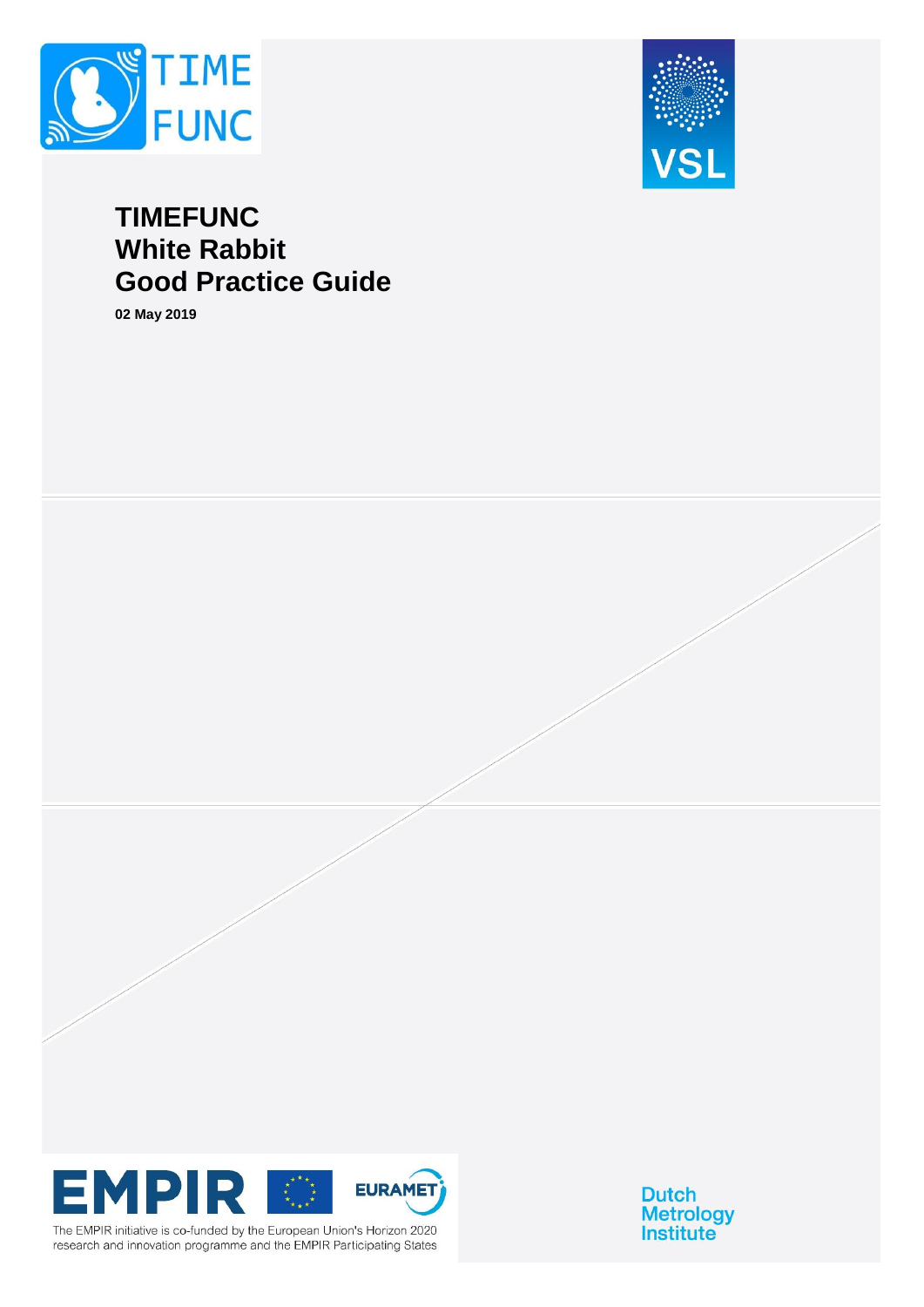



# **TIMEFUNC White Rabbit Good Practice Guide**

**02 May 2019**



The EMPIR initiative is co-funded by the European Union's Horizon 2020 research and innovation programme and the EMPIR Participating States

**Dutch Metrology**<br>Institute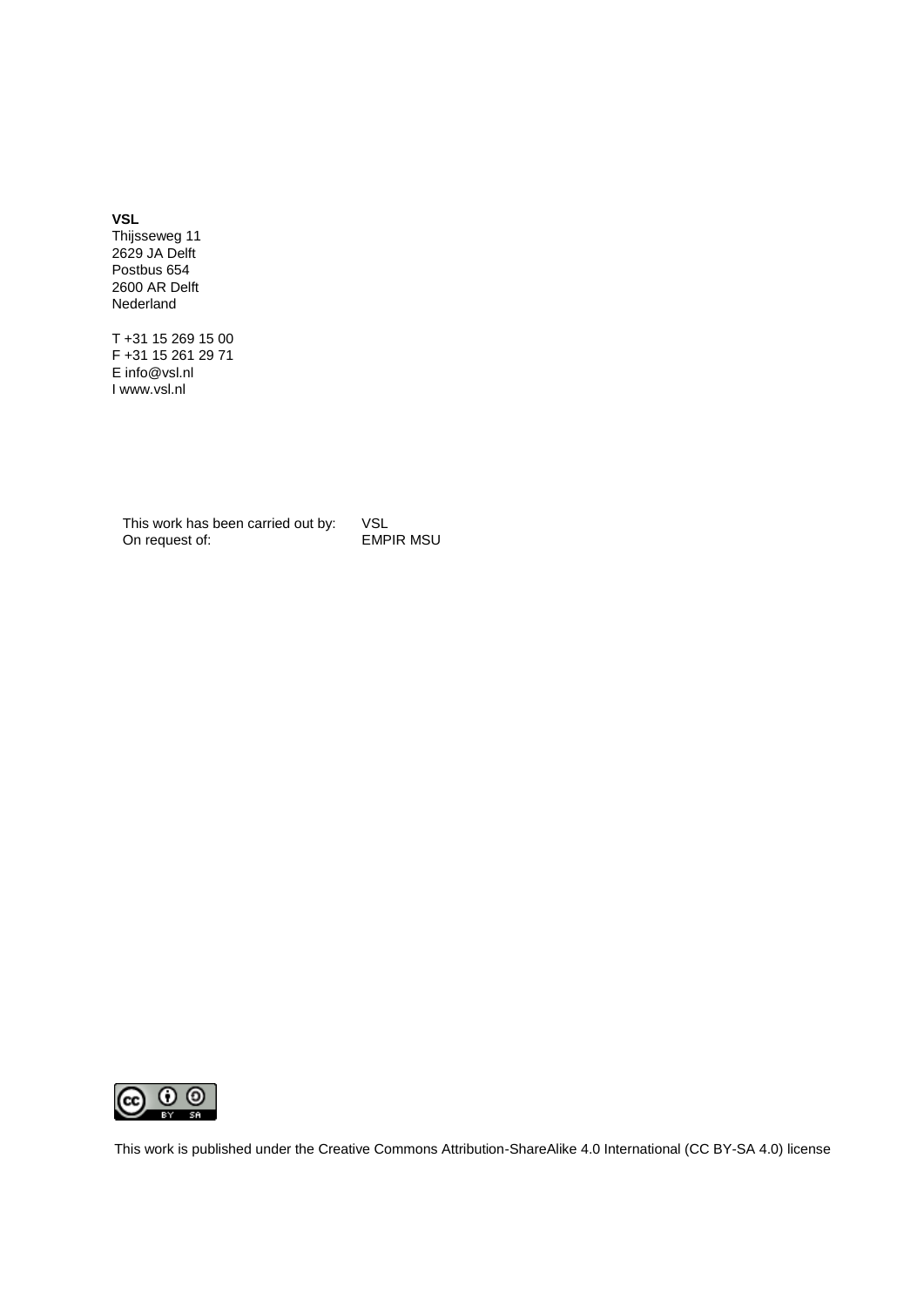**VSL** 

Thijsseweg 11 2629 JA Delft Postbus 654 2600 AR Delft Nederland

T +31 15 269 15 00 F +31 15 261 29 71 E info@vsl.nl I www.vsl.nl

This work has been carried out by: VSL<br>On request of: EMPIR MSU On request of:



This work is published under the Creative Commons Attribution-ShareAlike 4.0 International (CC BY-SA 4.0) license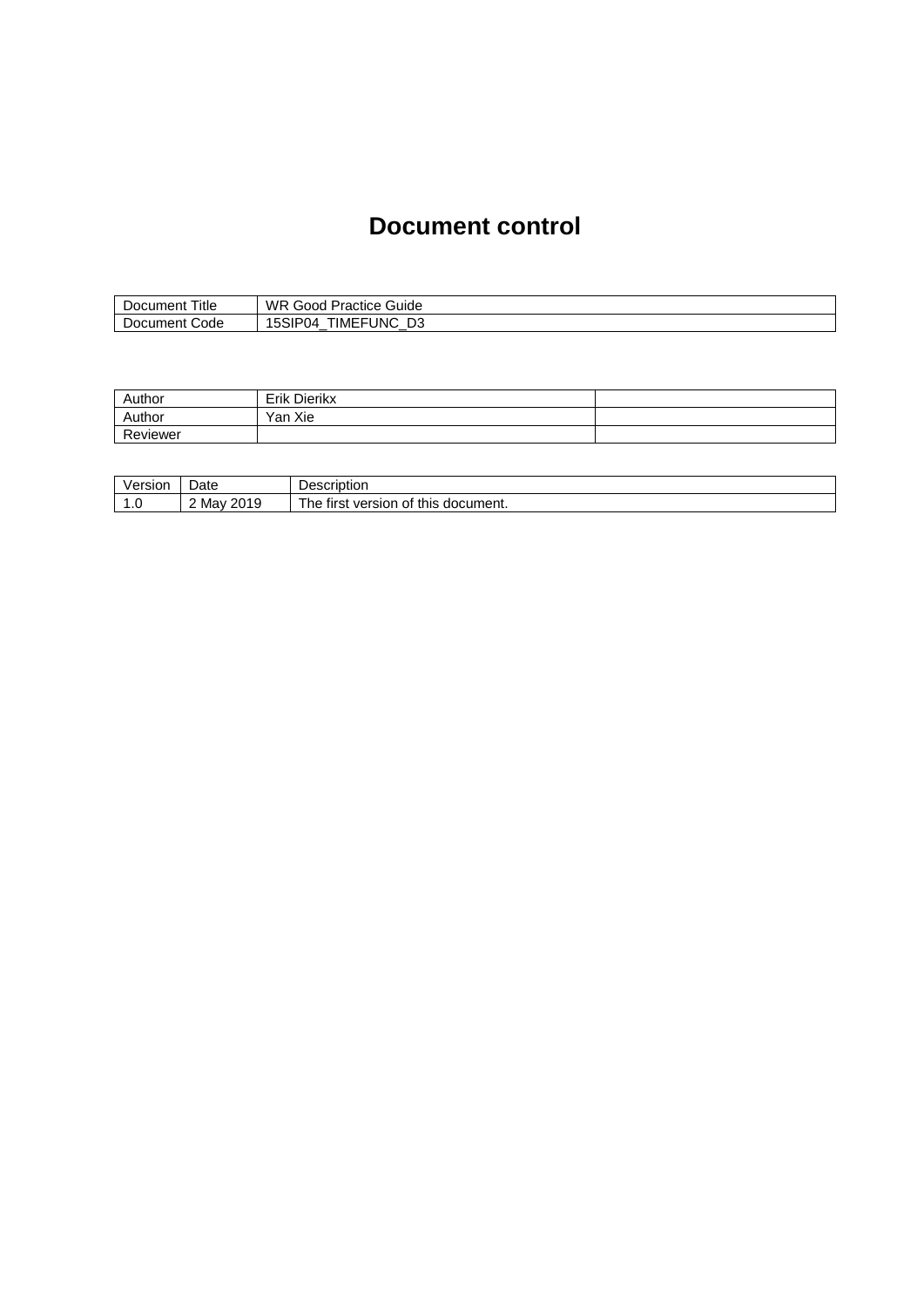## **Document control**

| --<br>l itle<br>Document ' | WR<br>$\overline{\phantom{a}}$<br>$\sim$<br>' Practice Guide<br>Good |
|----------------------------|----------------------------------------------------------------------|
| Document Code              | ™EFเ<br><b>UNC</b><br>D3<br>`IP04<br>∽<br>_                          |

| Author   | Dierikx<br>Erik |  |
|----------|-----------------|--|
| Author   | Xie<br>Yan .    |  |
| Reviewer |                 |  |

| ersion<br>veı. | Date                    | Description                                         |
|----------------|-------------------------|-----------------------------------------------------|
| ٥              | 2010<br>Mav<br>∼<br>. . | version<br>this<br>` document.<br>tırst<br>Οt<br>he |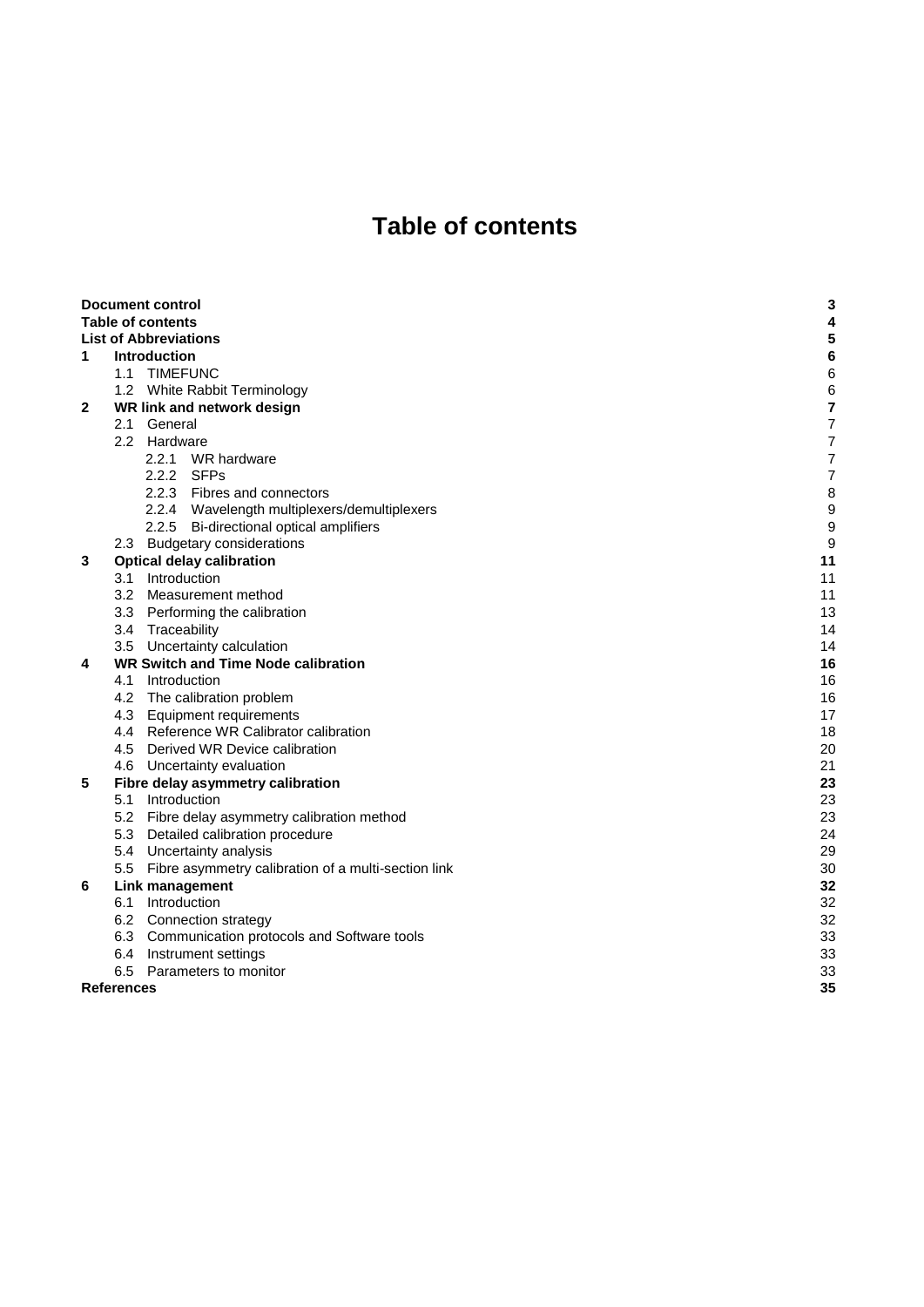# **Table of contents**

|              |                   | <b>Document control</b>                                 | 3  |
|--------------|-------------------|---------------------------------------------------------|----|
|              |                   | <b>Table of contents</b>                                | 4  |
|              |                   | <b>List of Abbreviations</b>                            | 5  |
| 1            |                   | <b>Introduction</b>                                     | 6  |
|              |                   | 1.1 TIMEFUNC                                            | 6  |
|              |                   | 1.2 White Rabbit Terminology                            | 6  |
| $\mathbf{2}$ |                   | WR link and network design                              | 7  |
|              |                   | 2.1 General                                             | 7  |
|              |                   | 2.2 Hardware                                            | 7  |
|              |                   | 2.2.1 WR hardware                                       | 7  |
|              |                   | 2.2.2 SFPs                                              | 7  |
|              |                   | 2.2.3 Fibres and connectors                             | 8  |
|              |                   | 2.2.4 Wavelength multiplexers/demultiplexers            | 9  |
|              |                   | 2.2.5 Bi-directional optical amplifiers                 | 9  |
|              |                   | 2.3 Budgetary considerations                            | g  |
| 3            |                   | <b>Optical delay calibration</b>                        | 11 |
|              |                   | 3.1 Introduction                                        | 11 |
|              |                   | 3.2 Measurement method                                  | 11 |
|              |                   | 3.3 Performing the calibration                          | 13 |
|              |                   | 3.4 Traceability                                        | 14 |
|              |                   | 3.5 Uncertainty calculation                             | 14 |
| 4            |                   | <b>WR Switch and Time Node calibration</b>              | 16 |
|              |                   | 4.1 Introduction                                        | 16 |
|              |                   | 4.2 The calibration problem                             | 16 |
|              |                   | 4.3 Equipment requirements                              | 17 |
|              |                   | 4.4 Reference WR Calibrator calibration                 | 18 |
|              |                   | 4.5 Derived WR Device calibration                       | 20 |
|              |                   | 4.6 Uncertainty evaluation                              | 21 |
| 5            |                   | Fibre delay asymmetry calibration                       | 23 |
|              |                   | 5.1 Introduction                                        | 23 |
|              |                   | 5.2 Fibre delay asymmetry calibration method            | 23 |
|              |                   | 5.3 Detailed calibration procedure                      | 24 |
|              |                   | 5.4 Uncertainty analysis                                | 29 |
|              |                   | 5.5 Fibre asymmetry calibration of a multi-section link | 30 |
| 6            |                   | Link management                                         | 32 |
|              |                   | 6.1 Introduction                                        | 32 |
|              |                   | 6.2 Connection strategy                                 | 32 |
|              |                   | 6.3 Communication protocols and Software tools          | 33 |
|              |                   | 6.4 Instrument settings                                 | 33 |
|              |                   | 6.5 Parameters to monitor                               | 33 |
|              | <b>References</b> |                                                         | 35 |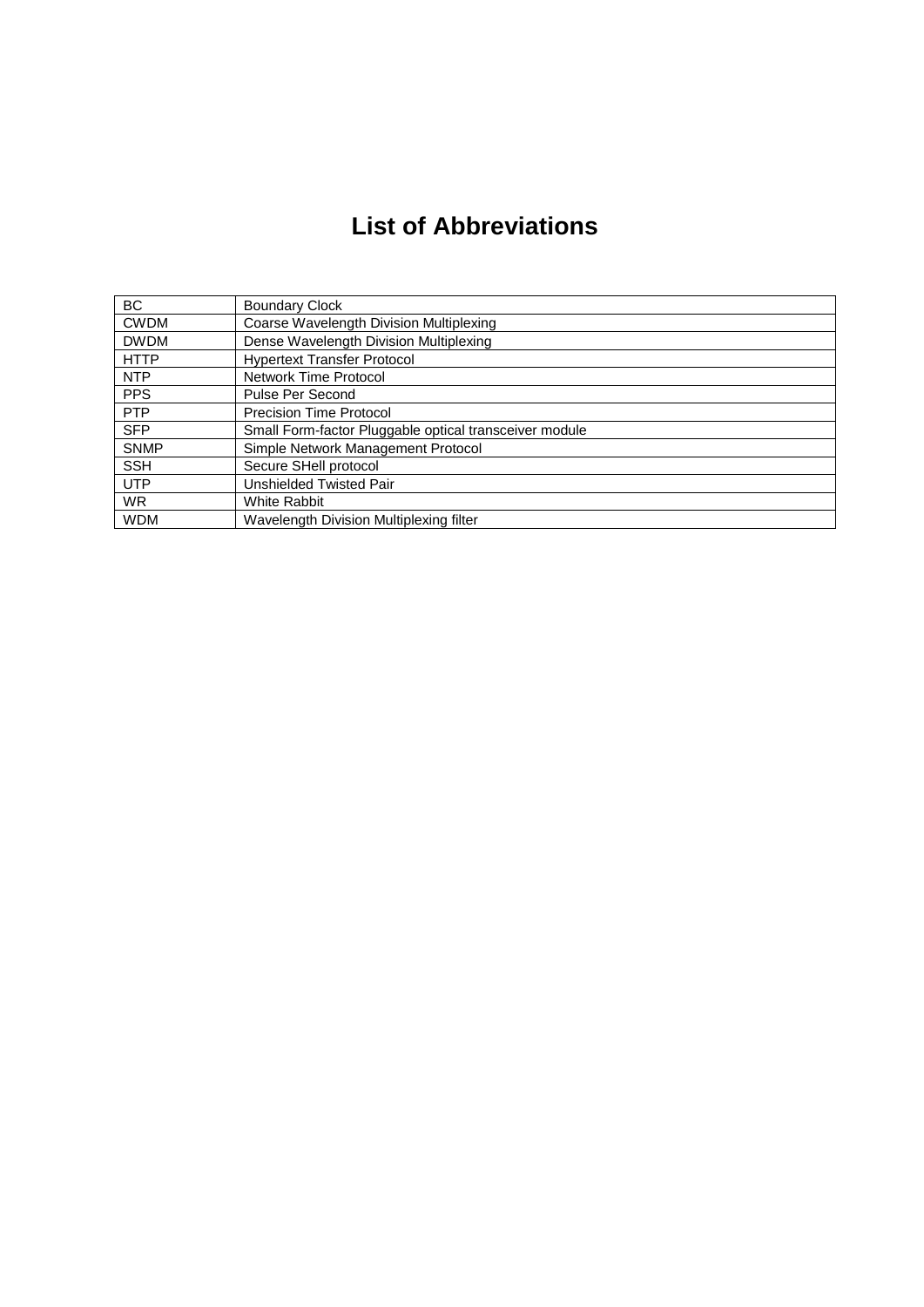# **List of Abbreviations**

| <b>BC</b>   | <b>Boundary Clock</b>                                  |
|-------------|--------------------------------------------------------|
| <b>CWDM</b> | Coarse Wavelength Division Multiplexing                |
| <b>DWDM</b> | Dense Wavelength Division Multiplexing                 |
| <b>HTTP</b> | <b>Hypertext Transfer Protocol</b>                     |
| <b>NTP</b>  | <b>Network Time Protocol</b>                           |
| <b>PPS</b>  | Pulse Per Second                                       |
| <b>PTP</b>  | <b>Precision Time Protocol</b>                         |
| <b>SFP</b>  | Small Form-factor Pluggable optical transceiver module |
| <b>SNMP</b> | Simple Network Management Protocol                     |
| <b>SSH</b>  | Secure SHell protocol                                  |
| <b>UTP</b>  | Unshielded Twisted Pair                                |
| <b>WR</b>   | <b>White Rabbit</b>                                    |
| <b>WDM</b>  | Wavelength Division Multiplexing filter                |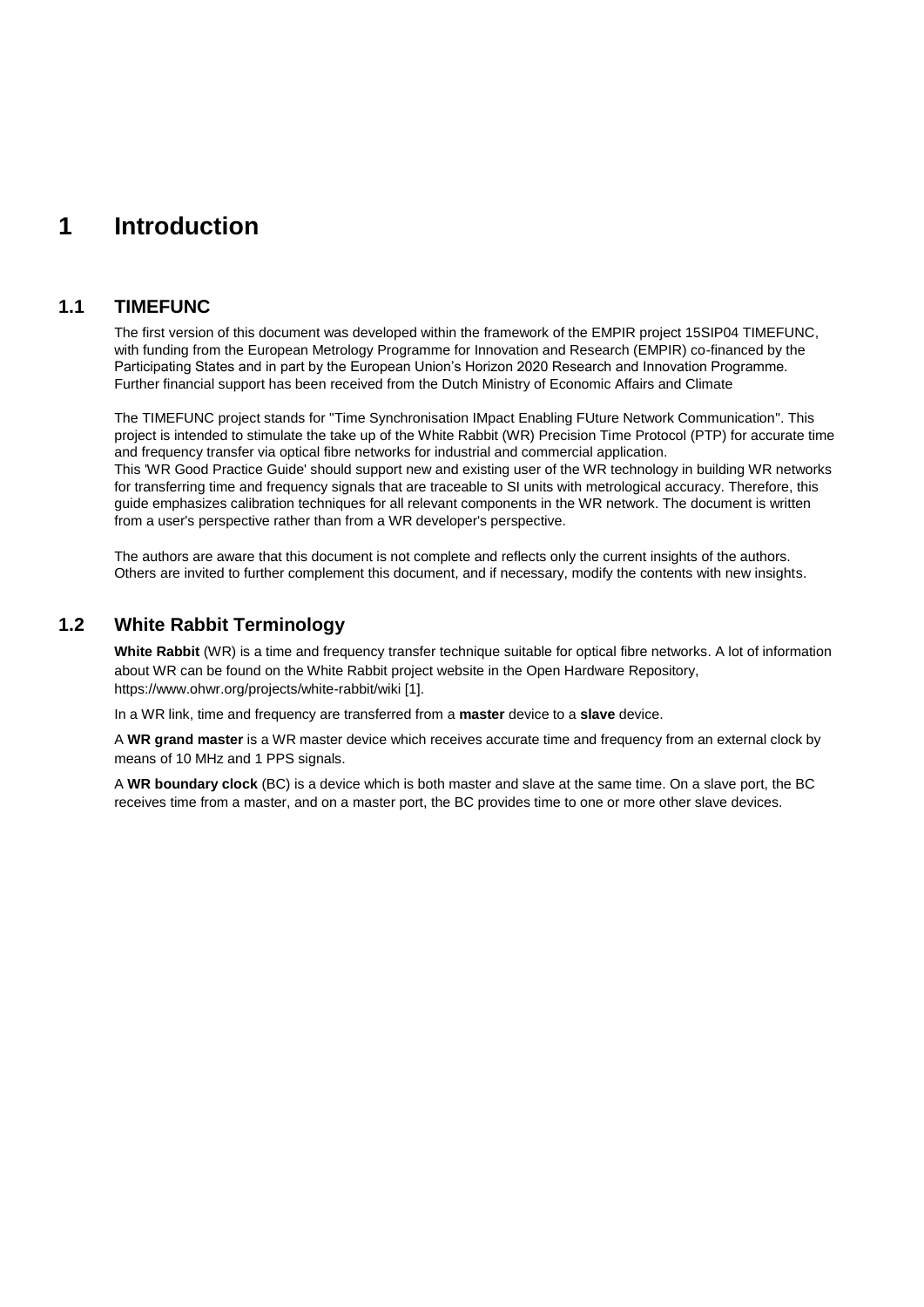## **1 Introduction**

## **1.1 TIMEFUNC**

The first version of this document was developed within the framework of the EMPIR project 15SIP04 TIMEFUNC, with funding from the European Metrology Programme for Innovation and Research (EMPIR) co-financed by the Participating States and in part by the European Union's Horizon 2020 Research and Innovation Programme. Further financial support has been received from the Dutch Ministry of Economic Affairs and Climate

The TIMEFUNC project stands for "Time Synchronisation IMpact Enabling FUture Network Communication". This project is intended to stimulate the take up of the White Rabbit (WR) Precision Time Protocol (PTP) for accurate time and frequency transfer via optical fibre networks for industrial and commercial application. This 'WR Good Practice Guide' should support new and existing user of the WR technology in building WR networks for transferring time and frequency signals that are traceable to SI units with metrological accuracy. Therefore, this guide emphasizes calibration techniques for all relevant components in the WR network. The document is written from a user's perspective rather than from a WR developer's perspective.

The authors are aware that this document is not complete and reflects only the current insights of the authors. Others are invited to further complement this document, and if necessary, modify the contents with new insights.

## **1.2 White Rabbit Terminology**

**White Rabbit** (WR) is a time and frequency transfer technique suitable for optical fibre networks. A lot of information about WR can be found on the White Rabbit project website in the Open Hardware Repository, https://www.ohwr.org/projects/white-rabbit/wiki [\[1\].](#page-34-0)

In a WR link, time and frequency are transferred from a **master** device to a **slave** device.

A **WR grand master** is a WR master device which receives accurate time and frequency from an external clock by means of 10 MHz and 1 PPS signals.

A **WR boundary clock** (BC) is a device which is both master and slave at the same time. On a slave port, the BC receives time from a master, and on a master port, the BC provides time to one or more other slave devices.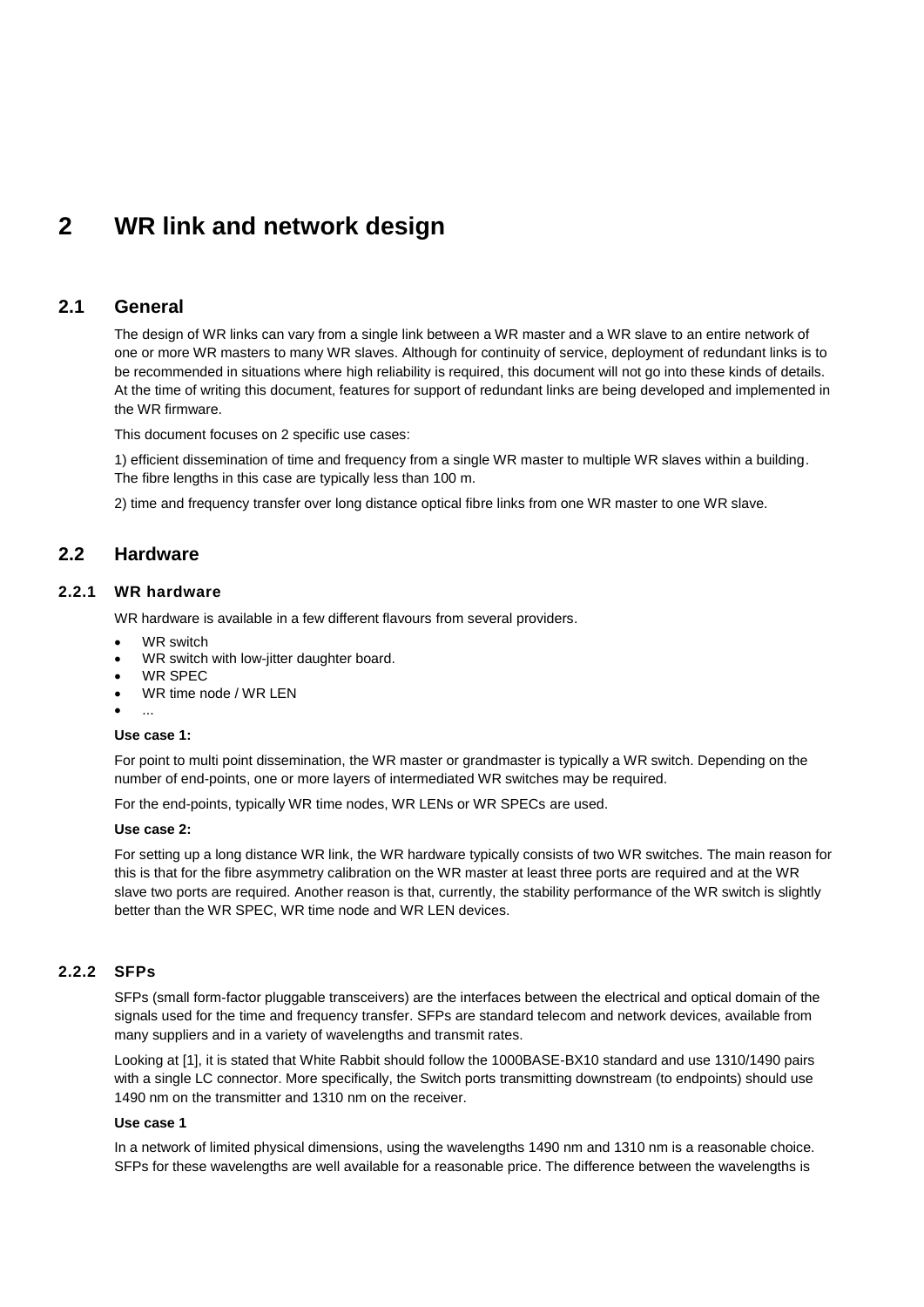## **2 WR link and network design**

## **2.1 General**

The design of WR links can vary from a single link between a WR master and a WR slave to an entire network of one or more WR masters to many WR slaves. Although for continuity of service, deployment of redundant links is to be recommended in situations where high reliability is required, this document will not go into these kinds of details. At the time of writing this document, features for support of redundant links are being developed and implemented in the WR firmware.

This document focuses on 2 specific use cases:

1) efficient dissemination of time and frequency from a single WR master to multiple WR slaves within a building. The fibre lengths in this case are typically less than 100 m.

2) time and frequency transfer over long distance optical fibre links from one WR master to one WR slave.

## **2.2 Hardware**

### **2.2.1 WR hardware**

WR hardware is available in a few different flavours from several providers.

- WR switch
- WR switch with low-jitter daughter board.
- WR SPEC
- WR time node / WR LEN
- ...

#### **Use case 1:**

For point to multi point dissemination, the WR master or grandmaster is typically a WR switch. Depending on the number of end-points, one or more layers of intermediated WR switches may be required.

For the end-points, typically WR time nodes, WR LENs or WR SPECs are used.

#### **Use case 2:**

For setting up a long distance WR link, the WR hardware typically consists of two WR switches. The main reason for this is that for the fibre asymmetry calibration on the WR master at least three ports are required and at the WR slave two ports are required. Another reason is that, currently, the stability performance of the WR switch is slightly better than the WR SPEC, WR time node and WR LEN devices.

#### **2.2.2 SFPs**

SFPs (small form-factor pluggable transceivers) are the interfaces between the electrical and optical domain of the signals used for the time and frequency transfer. SFPs are standard telecom and network devices, available from many suppliers and in a variety of wavelengths and transmit rates.

Looking a[t \[1\],](#page-34-0) it is stated that White Rabbit should follow the 1000BASE-BX10 standard and use 1310/1490 pairs with a single LC connector. More specifically, the Switch ports transmitting downstream (to endpoints) should use 1490 nm on the transmitter and 1310 nm on the receiver.

#### **Use case 1**

In a network of limited physical dimensions, using the wavelengths 1490 nm and 1310 nm is a reasonable choice. SFPs for these wavelengths are well available for a reasonable price. The difference between the wavelengths is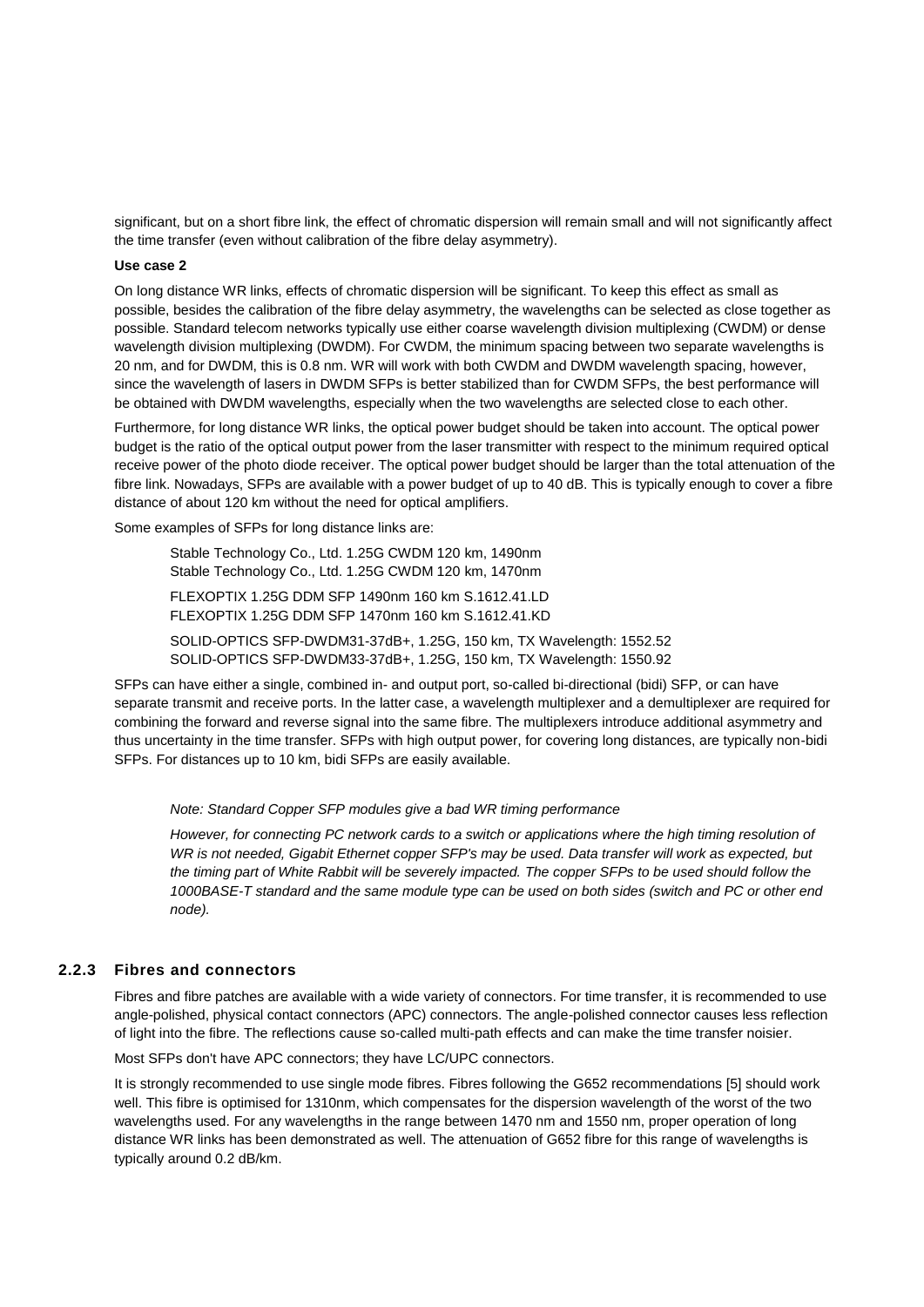significant, but on a short fibre link, the effect of chromatic dispersion will remain small and will not significantly affect the time transfer (even without calibration of the fibre delay asymmetry).

#### **Use case 2**

On long distance WR links, effects of chromatic dispersion will be significant. To keep this effect as small as possible, besides the calibration of the fibre delay asymmetry, the wavelengths can be selected as close together as possible. Standard telecom networks typically use either coarse wavelength division multiplexing (CWDM) or dense wavelength division multiplexing (DWDM). For CWDM, the minimum spacing between two separate wavelengths is 20 nm, and for DWDM, this is 0.8 nm. WR will work with both CWDM and DWDM wavelength spacing, however, since the wavelength of lasers in DWDM SFPs is better stabilized than for CWDM SFPs, the best performance will be obtained with DWDM wavelengths, especially when the two wavelengths are selected close to each other.

Furthermore, for long distance WR links, the optical power budget should be taken into account. The optical power budget is the ratio of the optical output power from the laser transmitter with respect to the minimum required optical receive power of the photo diode receiver. The optical power budget should be larger than the total attenuation of the fibre link. Nowadays, SFPs are available with a power budget of up to 40 dB. This is typically enough to cover a fibre distance of about 120 km without the need for optical amplifiers.

Some examples of SFPs for long distance links are:

Stable Technology Co., Ltd. 1.25G CWDM 120 km, 1490nm Stable Technology Co., Ltd. 1.25G CWDM 120 km, 1470nm FLEXOPTIX 1.25G DDM SFP 1490nm 160 km S.1612.41.LD FLEXOPTIX 1.25G DDM SFP 1470nm 160 km S.1612.41.KD

SOLID-OPTICS SFP-DWDM31-37dB+, 1.25G, 150 km, TX Wavelength: 1552.52 SOLID-OPTICS SFP-DWDM33-37dB+, 1.25G, 150 km, TX Wavelength: 1550.92

SFPs can have either a single, combined in- and output port, so-called bi-directional (bidi) SFP, or can have separate transmit and receive ports. In the latter case, a wavelength multiplexer and a demultiplexer are required for combining the forward and reverse signal into the same fibre. The multiplexers introduce additional asymmetry and thus uncertainty in the time transfer. SFPs with high output power, for covering long distances, are typically non-bidi SFPs. For distances up to 10 km, bidi SFPs are easily available.

#### *Note: Standard Copper SFP modules give a bad WR timing performance*

However, for connecting PC network cards to a switch or applications where the high timing resolution of *WR is not needed, Gigabit Ethernet copper SFP's may be used. Data transfer will work as expected, but the timing part of White Rabbit will be severely impacted. The copper SFPs to be used should follow the 1000BASE-T standard and the same module type can be used on both sides (switch and PC or other end node).*

#### **2.2.3 Fibres and connectors**

Fibres and fibre patches are available with a wide variety of connectors. For time transfer, it is recommended to use angle-polished, physical contact connectors (APC) connectors. The angle-polished connector causes less reflection of light into the fibre. The reflections cause so-called multi-path effects and can make the time transfer noisier.

Most SFPs don't have APC connectors; they have LC/UPC connectors.

It is strongly recommended to use single mode fibres. Fibres following the G652 recommendations [\[5\]](#page-34-1) should work well. This fibre is optimised for 1310nm, which compensates for the dispersion wavelength of the worst of the two wavelengths used. For any wavelengths in the range between 1470 nm and 1550 nm, proper operation of long distance WR links has been demonstrated as well. The attenuation of G652 fibre for this range of wavelengths is typically around 0.2 dB/km.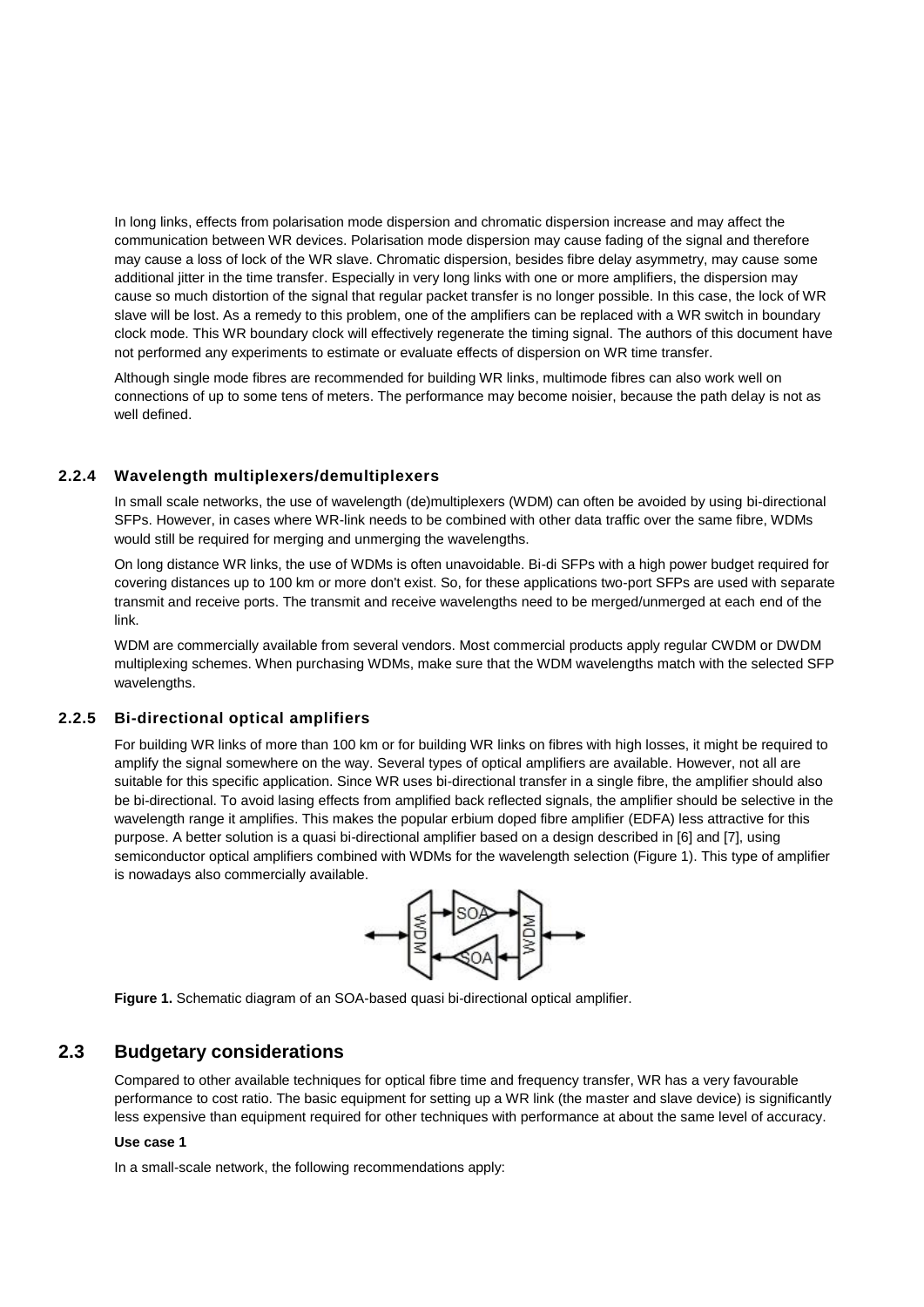In long links, effects from polarisation mode dispersion and chromatic dispersion increase and may affect the communication between WR devices. Polarisation mode dispersion may cause fading of the signal and therefore may cause a loss of lock of the WR slave. Chromatic dispersion, besides fibre delay asymmetry, may cause some additional jitter in the time transfer. Especially in very long links with one or more amplifiers, the dispersion may cause so much distortion of the signal that regular packet transfer is no longer possible. In this case, the lock of WR slave will be lost. As a remedy to this problem, one of the amplifiers can be replaced with a WR switch in boundary clock mode. This WR boundary clock will effectively regenerate the timing signal. The authors of this document have not performed any experiments to estimate or evaluate effects of dispersion on WR time transfer.

Although single mode fibres are recommended for building WR links, multimode fibres can also work well on connections of up to some tens of meters. The performance may become noisier, because the path delay is not as well defined.

### **2.2.4 Wavelength multiplexers/demultiplexers**

In small scale networks, the use of wavelength (de)multiplexers (WDM) can often be avoided by using bi-directional SFPs. However, in cases where WR-link needs to be combined with other data traffic over the same fibre, WDMs would still be required for merging and unmerging the wavelengths.

On long distance WR links, the use of WDMs is often unavoidable. Bi-di SFPs with a high power budget required for covering distances up to 100 km or more don't exist. So, for these applications two-port SFPs are used with separate transmit and receive ports. The transmit and receive wavelengths need to be merged/unmerged at each end of the link.

WDM are commercially available from several vendors. Most commercial products apply regular CWDM or DWDM multiplexing schemes. When purchasing WDMs, make sure that the WDM wavelengths match with the selected SFP wavelengths.

#### **2.2.5 Bi-directional optical amplifiers**

For building WR links of more than 100 km or for building WR links on fibres with high losses, it might be required to amplify the signal somewhere on the way. Several types of optical amplifiers are available. However, not all are suitable for this specific application. Since WR uses bi-directional transfer in a single fibre, the amplifier should also be bi-directional. To avoid lasing effects from amplified back reflected signals, the amplifier should be selective in the wavelength range it amplifies. This makes the popular erbium doped fibre amplifier (EDFA) less attractive for this purpose. A better solution is a quasi bi-directional amplifier based on a design described in [\[6\]](#page-34-2) and [\[7\],](#page-34-3) using semiconductor optical amplifiers combined with WDMs for the wavelength selection [\(Figure 1\)](#page-8-0). This type of amplifier is nowadays also commercially available.



<span id="page-8-0"></span>

## **2.3 Budgetary considerations**

Compared to other available techniques for optical fibre time and frequency transfer, WR has a very favourable performance to cost ratio. The basic equipment for setting up a WR link (the master and slave device) is significantly less expensive than equipment required for other techniques with performance at about the same level of accuracy.

#### **Use case 1**

In a small-scale network, the following recommendations apply: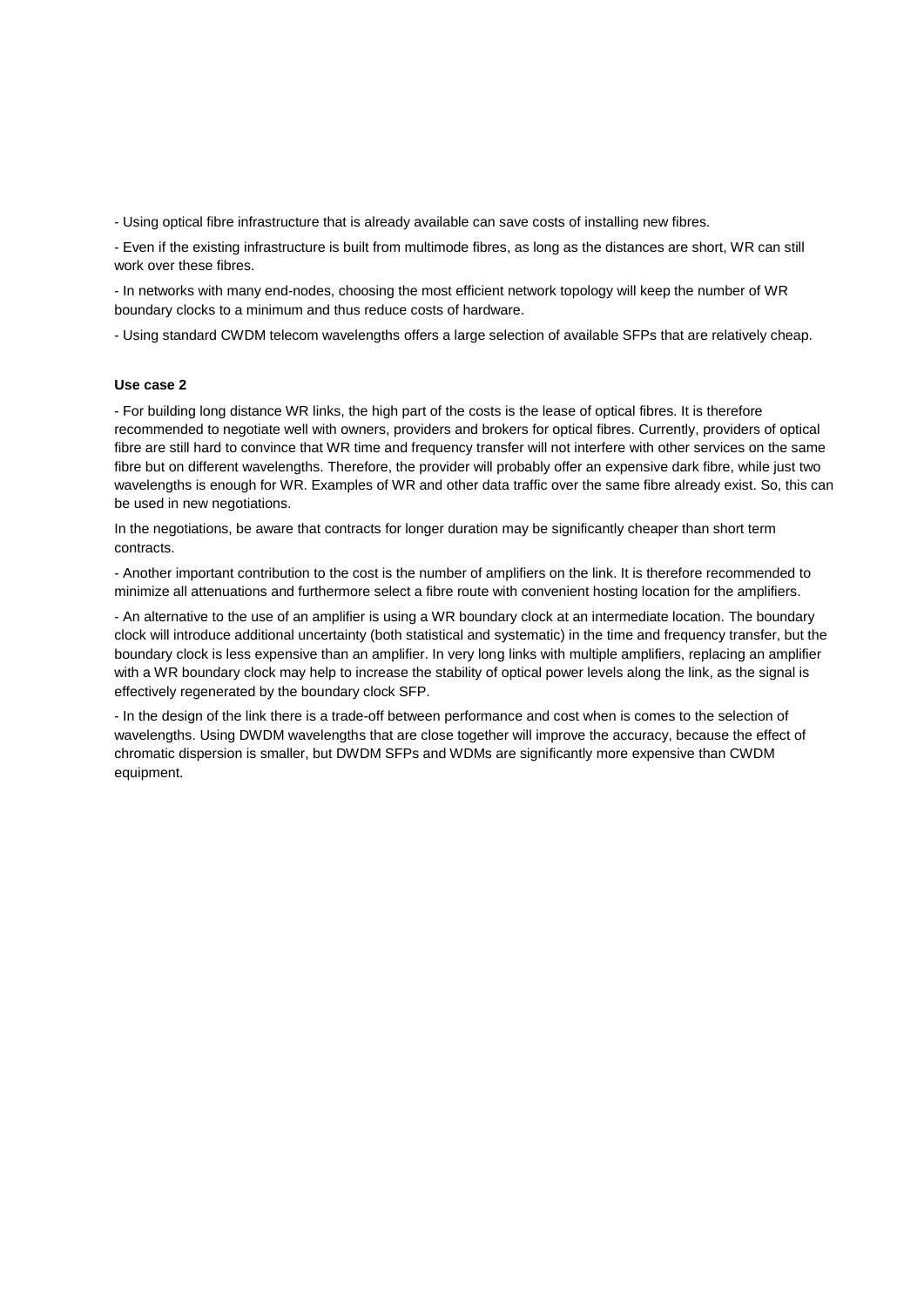- Using optical fibre infrastructure that is already available can save costs of installing new fibres.

- Even if the existing infrastructure is built from multimode fibres, as long as the distances are short, WR can still work over these fibres.

- In networks with many end-nodes, choosing the most efficient network topology will keep the number of WR boundary clocks to a minimum and thus reduce costs of hardware.

- Using standard CWDM telecom wavelengths offers a large selection of available SFPs that are relatively cheap.

#### **Use case 2**

- For building long distance WR links, the high part of the costs is the lease of optical fibres. It is therefore recommended to negotiate well with owners, providers and brokers for optical fibres. Currently, providers of optical fibre are still hard to convince that WR time and frequency transfer will not interfere with other services on the same fibre but on different wavelengths. Therefore, the provider will probably offer an expensive dark fibre, while just two wavelengths is enough for WR. Examples of WR and other data traffic over the same fibre already exist. So, this can be used in new negotiations.

In the negotiations, be aware that contracts for longer duration may be significantly cheaper than short term contracts.

- Another important contribution to the cost is the number of amplifiers on the link. It is therefore recommended to minimize all attenuations and furthermore select a fibre route with convenient hosting location for the amplifiers.

- An alternative to the use of an amplifier is using a WR boundary clock at an intermediate location. The boundary clock will introduce additional uncertainty (both statistical and systematic) in the time and frequency transfer, but the boundary clock is less expensive than an amplifier. In very long links with multiple amplifiers, replacing an amplifier with a WR boundary clock may help to increase the stability of optical power levels along the link, as the signal is effectively regenerated by the boundary clock SFP.

- In the design of the link there is a trade-off between performance and cost when is comes to the selection of wavelengths. Using DWDM wavelengths that are close together will improve the accuracy, because the effect of chromatic dispersion is smaller, but DWDM SFPs and WDMs are significantly more expensive than CWDM equipment.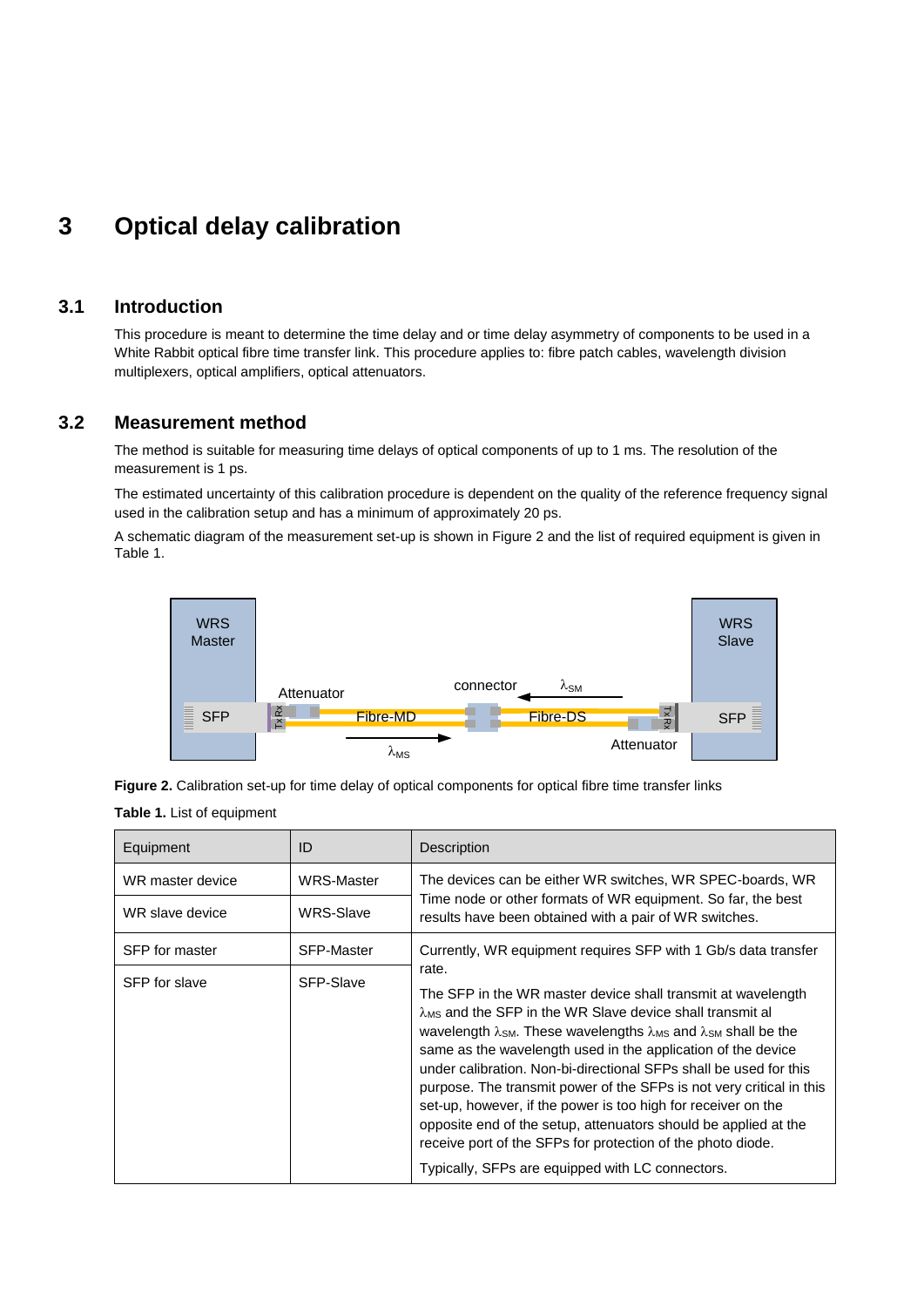## <span id="page-10-2"></span>**3 Optical delay calibration**

## **3.1 Introduction**

This procedure is meant to determine the time delay and or time delay asymmetry of components to be used in a White Rabbit optical fibre time transfer link. This procedure applies to: fibre patch cables, wavelength division multiplexers, optical amplifiers, optical attenuators.

## **3.2 Measurement method**

The method is suitable for measuring time delays of optical components of up to 1 ms. The resolution of the measurement is 1 ps.

The estimated uncertainty of this calibration procedure is dependent on the quality of the reference frequency signal used in the calibration setup and has a minimum of approximately 20 ps.

A schematic diagram of the measurement set-up is shown in [Figure 2](#page-10-0) and the list of required equipment is given in [Table 1.](#page-10-1)



<span id="page-10-1"></span><span id="page-10-0"></span>**Figure 2.** Calibration set-up for time delay of optical components for optical fibre time transfer links **Table 1.** List of equipment

| WRS-Master        |                                                                                                                                                                                                                                                                                                                                                                                                                                                                                                                                                                                                                                                                                                                                  |
|-------------------|----------------------------------------------------------------------------------------------------------------------------------------------------------------------------------------------------------------------------------------------------------------------------------------------------------------------------------------------------------------------------------------------------------------------------------------------------------------------------------------------------------------------------------------------------------------------------------------------------------------------------------------------------------------------------------------------------------------------------------|
|                   | The devices can be either WR switches, WR SPEC-boards, WR                                                                                                                                                                                                                                                                                                                                                                                                                                                                                                                                                                                                                                                                        |
| WRS-Slave         | Time node or other formats of WR equipment. So far, the best<br>results have been obtained with a pair of WR switches.                                                                                                                                                                                                                                                                                                                                                                                                                                                                                                                                                                                                           |
| <b>SFP-Master</b> | Currently, WR equipment requires SFP with 1 Gb/s data transfer                                                                                                                                                                                                                                                                                                                                                                                                                                                                                                                                                                                                                                                                   |
| SFP-Slave         | rate.<br>The SFP in the WR master device shall transmit at wavelength<br>λMs and the SFP in the WR Slave device shall transmit al<br>wavelength $\lambda$ <sub>SM</sub> . These wavelengths $\lambda$ <sub>MS</sub> and $\lambda$ <sub>SM</sub> shall be the<br>same as the wavelength used in the application of the device<br>under calibration. Non-bi-directional SFPs shall be used for this<br>purpose. The transmit power of the SFPs is not very critical in this<br>set-up, however, if the power is too high for receiver on the<br>opposite end of the setup, attenuators should be applied at the<br>receive port of the SFPs for protection of the photo diode.<br>Typically, SFPs are equipped with LC connectors. |
|                   |                                                                                                                                                                                                                                                                                                                                                                                                                                                                                                                                                                                                                                                                                                                                  |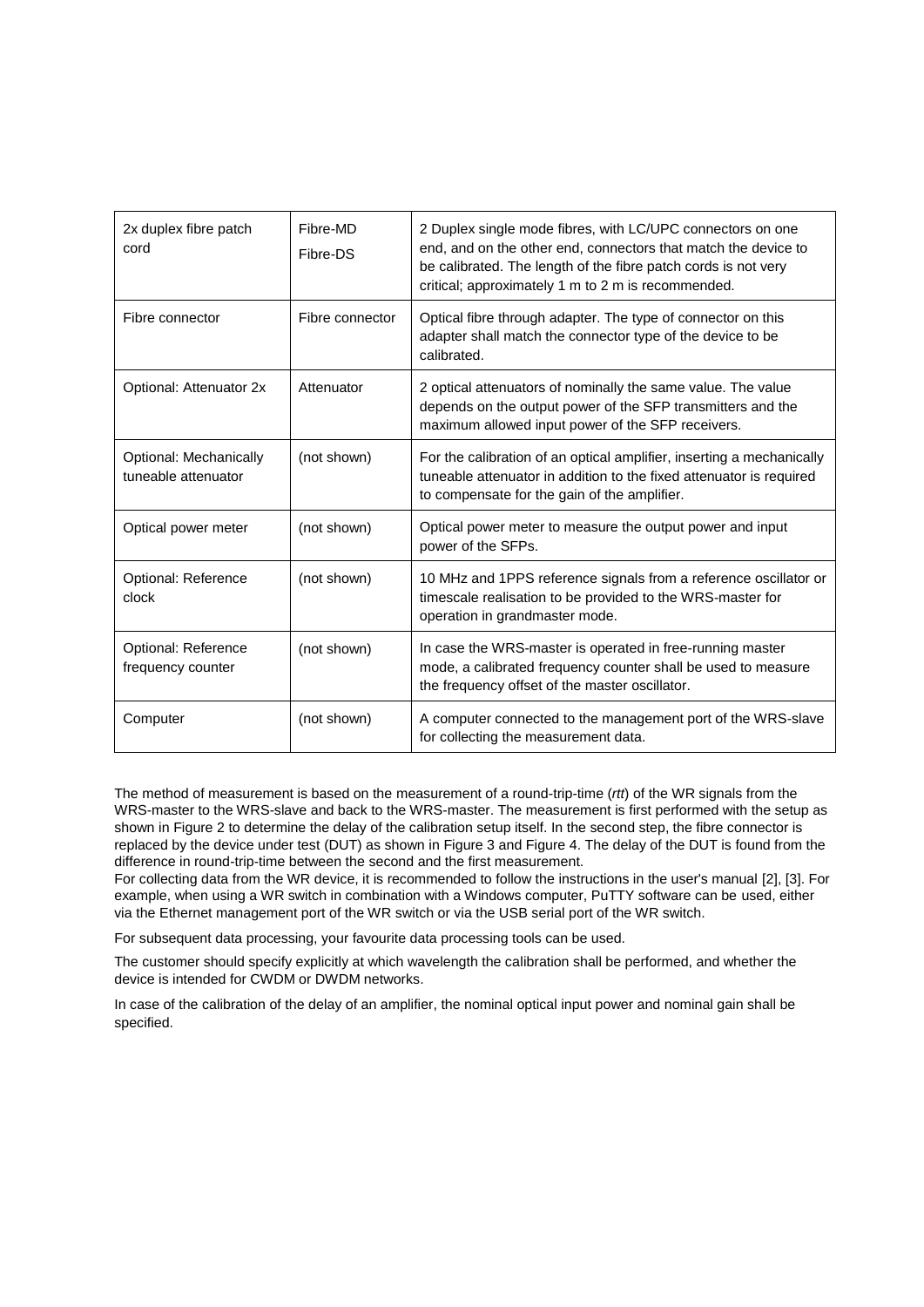| 2x duplex fibre patch<br>cord                 | Fibre-MD<br>Fibre-DS | 2 Duplex single mode fibres, with LC/UPC connectors on one<br>end, and on the other end, connectors that match the device to<br>be calibrated. The length of the fibre patch cords is not very<br>critical; approximately 1 m to 2 m is recommended. |
|-----------------------------------------------|----------------------|------------------------------------------------------------------------------------------------------------------------------------------------------------------------------------------------------------------------------------------------------|
| Fibre connector                               | Fibre connector      | Optical fibre through adapter. The type of connector on this<br>adapter shall match the connector type of the device to be<br>calibrated.                                                                                                            |
| Optional: Attenuator 2x                       | Attenuator           | 2 optical attenuators of nominally the same value. The value<br>depends on the output power of the SFP transmitters and the<br>maximum allowed input power of the SFP receivers.                                                                     |
| Optional: Mechanically<br>tuneable attenuator | (not shown)          | For the calibration of an optical amplifier, inserting a mechanically<br>tuneable attenuator in addition to the fixed attenuator is required<br>to compensate for the gain of the amplifier.                                                         |
| Optical power meter                           | (not shown)          | Optical power meter to measure the output power and input<br>power of the SFPs.                                                                                                                                                                      |
| Optional: Reference<br>clock                  | (not shown)          | 10 MHz and 1PPS reference signals from a reference oscillator or<br>timescale realisation to be provided to the WRS-master for<br>operation in grandmaster mode.                                                                                     |
| Optional: Reference<br>frequency counter      | (not shown)          | In case the WRS-master is operated in free-running master<br>mode, a calibrated frequency counter shall be used to measure<br>the frequency offset of the master oscillator.                                                                         |
| Computer                                      | (not shown)          | A computer connected to the management port of the WRS-slave<br>for collecting the measurement data.                                                                                                                                                 |

The method of measurement is based on the measurement of a round-trip-time (*rtt*) of the WR signals from the WRS-master to the WRS-slave and back to the WRS-master. The measurement is first performed with the setup as shown i[n Figure 2](#page-10-0) to determine the delay of the calibration setup itself. In the second step, the fibre connector is replaced by the device under test (DUT) as shown in [Figure 3](#page-12-0) and [Figure 4.](#page-12-1) The delay of the DUT is found from the difference in round-trip-time between the second and the first measurement.

For collecting data from the WR device, it is recommended to follow the instructions in the user's manual [\[2\],](#page-34-4) [\[3\].](#page-34-5) For example, when using a WR switch in combination with a Windows computer, PuTTY software can be used, either via the Ethernet management port of the WR switch or via the USB serial port of the WR switch.

For subsequent data processing, your favourite data processing tools can be used.

The customer should specify explicitly at which wavelength the calibration shall be performed, and whether the device is intended for CWDM or DWDM networks.

In case of the calibration of the delay of an amplifier, the nominal optical input power and nominal gain shall be specified.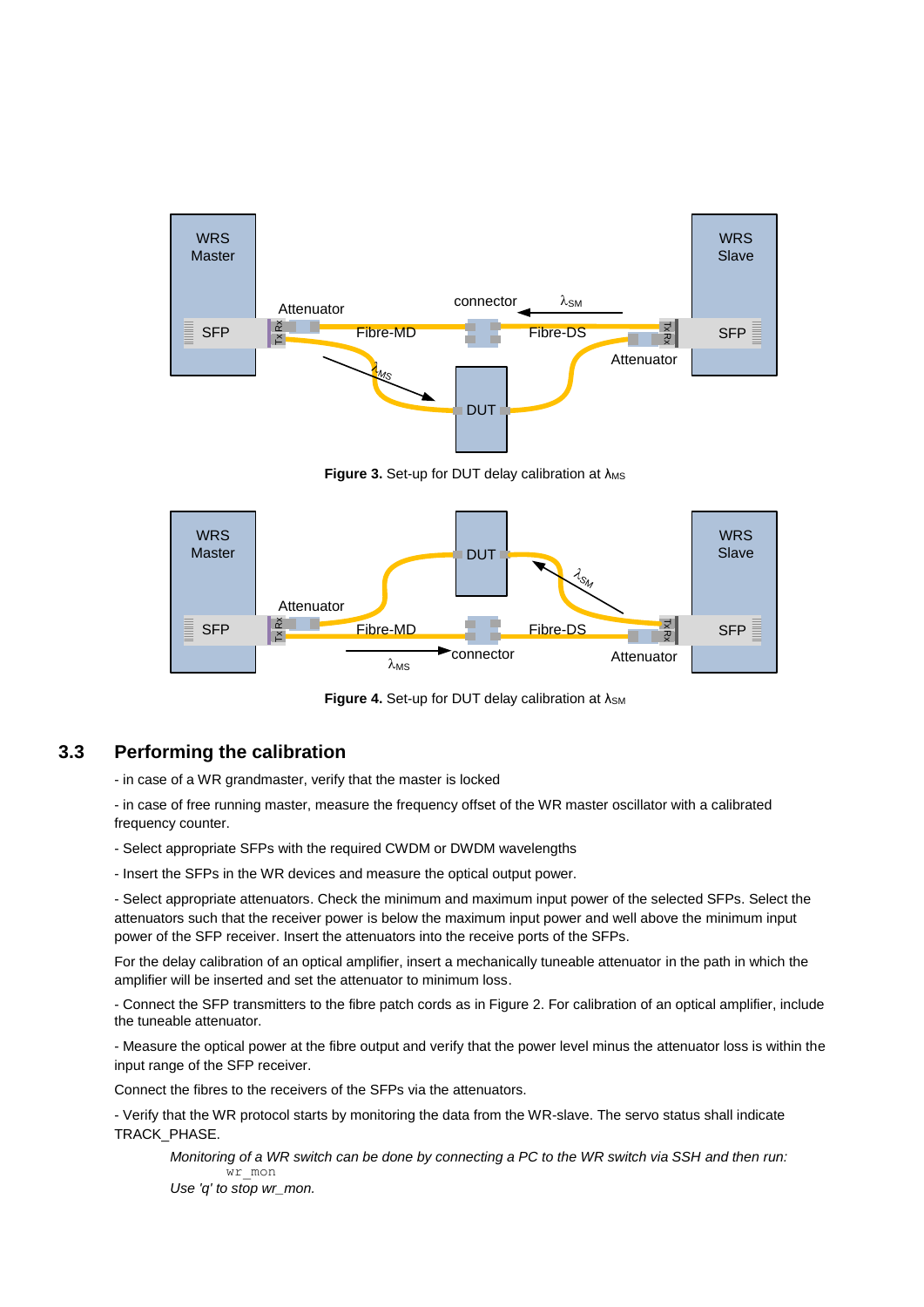

**Figure 3.** Set-up for DUT delay calibration at λ<sub>MS</sub>

<span id="page-12-0"></span>

**Figure 4.** Set-up for DUT delay calibration at λ<sub>SM</sub>

## <span id="page-12-1"></span>**3.3 Performing the calibration**

- in case of a WR grandmaster, verify that the master is locked

- in case of free running master, measure the frequency offset of the WR master oscillator with a calibrated frequency counter.

- Select appropriate SFPs with the required CWDM or DWDM wavelengths

- Insert the SFPs in the WR devices and measure the optical output power.

- Select appropriate attenuators. Check the minimum and maximum input power of the selected SFPs. Select the attenuators such that the receiver power is below the maximum input power and well above the minimum input power of the SFP receiver. Insert the attenuators into the receive ports of the SFPs.

For the delay calibration of an optical amplifier, insert a mechanically tuneable attenuator in the path in which the amplifier will be inserted and set the attenuator to minimum loss.

- Connect the SFP transmitters to the fibre patch cords as in [Figure 2.](#page-10-0) For calibration of an optical amplifier, include the tuneable attenuator.

- Measure the optical power at the fibre output and verify that the power level minus the attenuator loss is within the input range of the SFP receiver.

Connect the fibres to the receivers of the SFPs via the attenuators.

- Verify that the WR protocol starts by monitoring the data from the WR-slave. The servo status shall indicate TRACK\_PHASE.

*Monitoring of a WR switch can be done by connecting a PC to the WR switch via SSH and then run:* wr mon

*Use 'q' to stop wr\_mon.*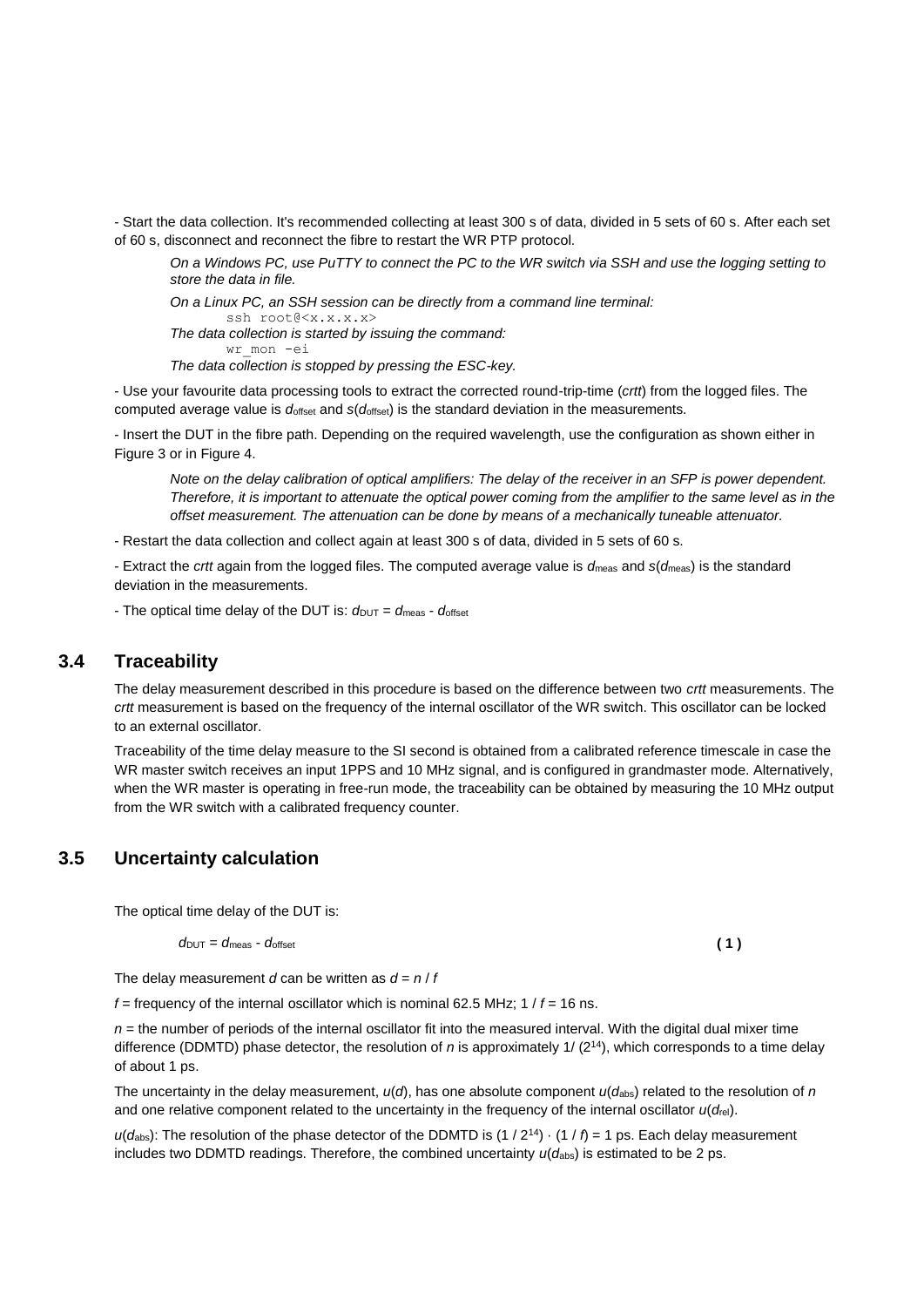- Start the data collection. It's recommended collecting at least 300 s of data, divided in 5 sets of 60 s. After each set of 60 s, disconnect and reconnect the fibre to restart the WR PTP protocol.

*On a Windows PC, use PuTTY to connect the PC to the WR switch via SSH and use the logging setting to store the data in file.*

*On a Linux PC, an SSH session can be directly from a command line terminal:* ssh root@<x.x.x.x>

*The data collection is started by issuing the command:* wr\_mon -ei

*The data collection is stopped by pressing the ESC-key.*

- Use your favourite data processing tools to extract the corrected round-trip-time (*crtt*) from the logged files. The computed average value is *d*offset and *s*(*d*offset) is the standard deviation in the measurements.

- Insert the DUT in the fibre path. Depending on the required wavelength, use the configuration as shown either in [Figure 3](#page-12-0) or in [Figure 4.](#page-12-1)

*Note on the delay calibration of optical amplifiers: The delay of the receiver in an SFP is power dependent. Therefore, it is important to attenuate the optical power coming from the amplifier to the same level as in the offset measurement. The attenuation can be done by means of a mechanically tuneable attenuator.*

- Restart the data collection and collect again at least 300 s of data, divided in 5 sets of 60 s.

- Extract the *crtt* again from the logged files. The computed average value is *d*meas and *s*(*d*meas) is the standard deviation in the measurements.

- The optical time delay of the DUT is:  $d_{\text{DUT}} = d_{\text{meas}} - d_{\text{offset}}$ 

## **3.4 Traceability**

The delay measurement described in this procedure is based on the difference between two *crtt* measurements. The *crtt* measurement is based on the frequency of the internal oscillator of the WR switch. This oscillator can be locked to an external oscillator.

Traceability of the time delay measure to the SI second is obtained from a calibrated reference timescale in case the WR master switch receives an input 1PPS and 10 MHz signal, and is configured in grandmaster mode. Alternatively, when the WR master is operating in free-run mode, the traceability can be obtained by measuring the 10 MHz output from the WR switch with a calibrated frequency counter.

## **3.5 Uncertainty calculation**

The optical time delay of the DUT is:

$$
d_{\text{DUT}} = d_{\text{meas}} \cdot d_{\text{offset}} \tag{1}
$$

The delay measurement *d* can be written as  $d = n / f$ 

*f* = frequency of the internal oscillator which is nominal 62.5 MHz; 1 / *f* = 16 ns.

 $n =$  the number of periods of the internal oscillator fit into the measured interval. With the digital dual mixer time difference (DDMTD) phase detector, the resolution of *n* is approximately 1/ (2<sup>14</sup>), which corresponds to a time delay of about 1 ps.

The uncertainty in the delay measurement,  $u(\theta)$ , has one absolute component  $u(d_{abs})$  related to the resolution of *n* and one relative component related to the uncertainty in the frequency of the internal oscillator *u*(*d*rel).

 $u(d_{\text{abs}})$ : The resolution of the phase detector of the DDMTD is (1 / 2<sup>14</sup>)  $\cdot$  (1 /  $f$ ) = 1 ps. Each delay measurement includes two DDMTD readings. Therefore, the combined uncertainty  $u(d_{\text{abs}})$  is estimated to be 2 ps.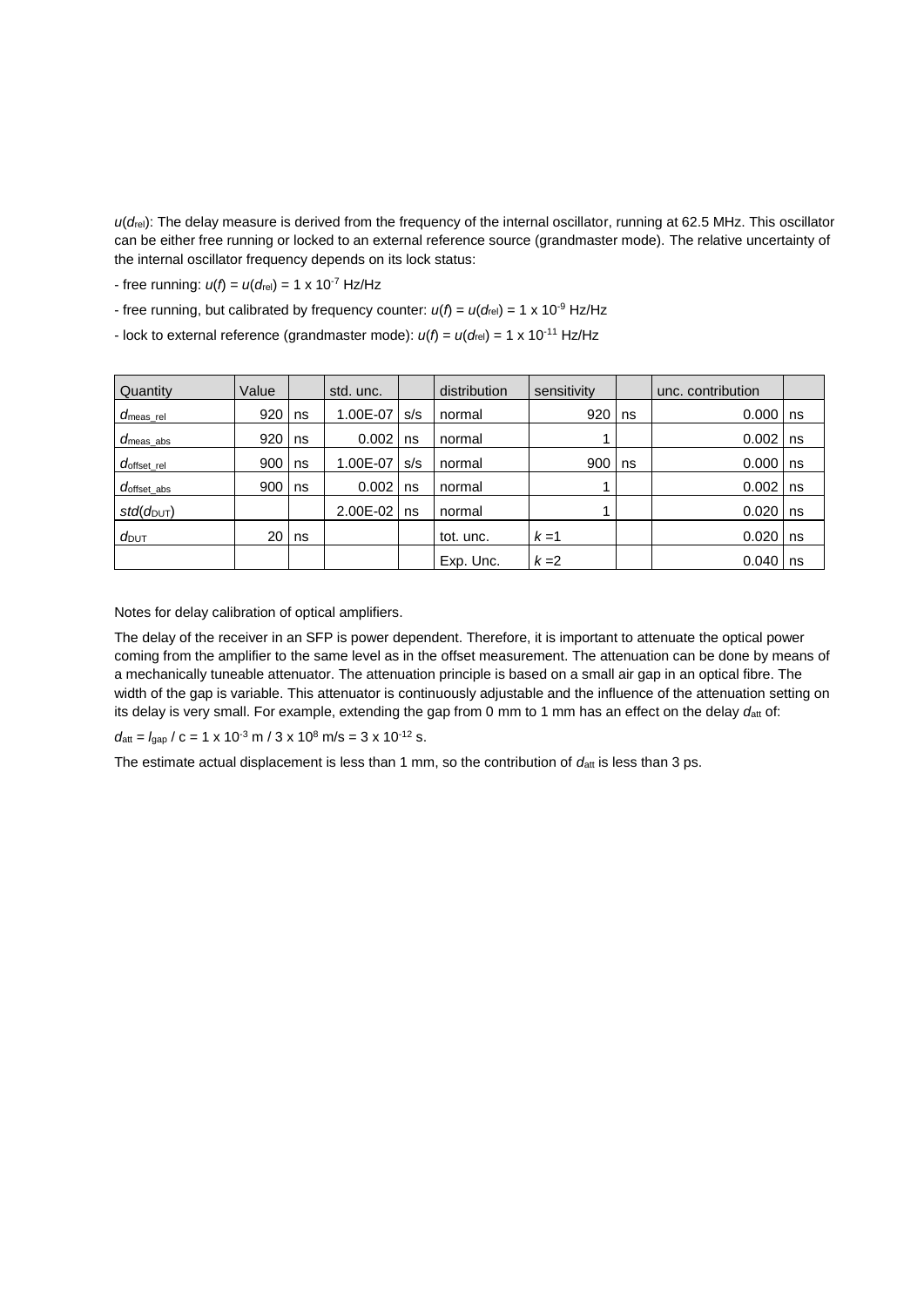*u*(*d*rel): The delay measure is derived from the frequency of the internal oscillator, running at 62.5 MHz. This oscillator can be either free running or locked to an external reference source (grandmaster mode). The relative uncertainty of the internal oscillator frequency depends on its lock status:

- free running:  $u(f) = u(d_{rel}) = 1 \times 10^{-7}$  Hz/Hz

- free running, but calibrated by frequency counter:  $u(f) = u(d_{rel}) = 1 \times 10^{-9}$  Hz/Hz
- lock to external reference (grandmaster mode):  $u(f) = u(d_{rel}) = 1 \times 10^{-11}$  Hz/Hz

| Quantity                          | Value |    | std. unc. |     | distribution | sensitivity |    | unc. contribution |             |
|-----------------------------------|-------|----|-----------|-----|--------------|-------------|----|-------------------|-------------|
| $d_{\mathsf{meas\_rel}}$          | 920   | ns | 1.00E-07  | s/s | normal       | 920         | ns | 0.000             | $\sqrt{ns}$ |
| $d_{\mathsf{meas}\_\mathsf{abs}}$ | 920   | ns | 0.002     | ns  | normal       |             |    | 0.002             | ns          |
| $d_{\rm offset\_rel}$             | 900   | ns | 1.00E-07  | s/s | normal       | 900         | ns | 0.000             | Ins         |
| $d_{\rm offset\_abs}$             | 900   | ns | 0.002     | ns  | normal       |             |    | 0.002             | $\ln s$     |
| $std(d_{\text{DUT}})$             |       |    | 2.00E-02  | ns  | normal       |             |    | 0.020             | $\ln s$     |
| $d$ <sub>DUT</sub>                | 20    | ns |           |     | tot. unc.    | $k=1$       |    | 0.020             | I ns        |
|                                   |       |    |           |     | Exp. Unc.    | $k=2$       |    | 0.040             | I ns        |

Notes for delay calibration of optical amplifiers.

The delay of the receiver in an SFP is power dependent. Therefore, it is important to attenuate the optical power coming from the amplifier to the same level as in the offset measurement. The attenuation can be done by means of a mechanically tuneable attenuator. The attenuation principle is based on a small air gap in an optical fibre. The width of the gap is variable. This attenuator is continuously adjustable and the influence of the attenuation setting on its delay is very small. For example, extending the gap from 0 mm to 1 mm has an effect on the delay datt of:

 $d_{\text{att}} = I_{\text{gap}} / c = 1 \times 10^{-3} \text{ m} / 3 \times 10^8 \text{ m/s} = 3 \times 10^{-12} \text{ s}.$ 

The estimate actual displacement is less than 1 mm, so the contribution of  $d_{\text{att}}$  is less than 3 ps.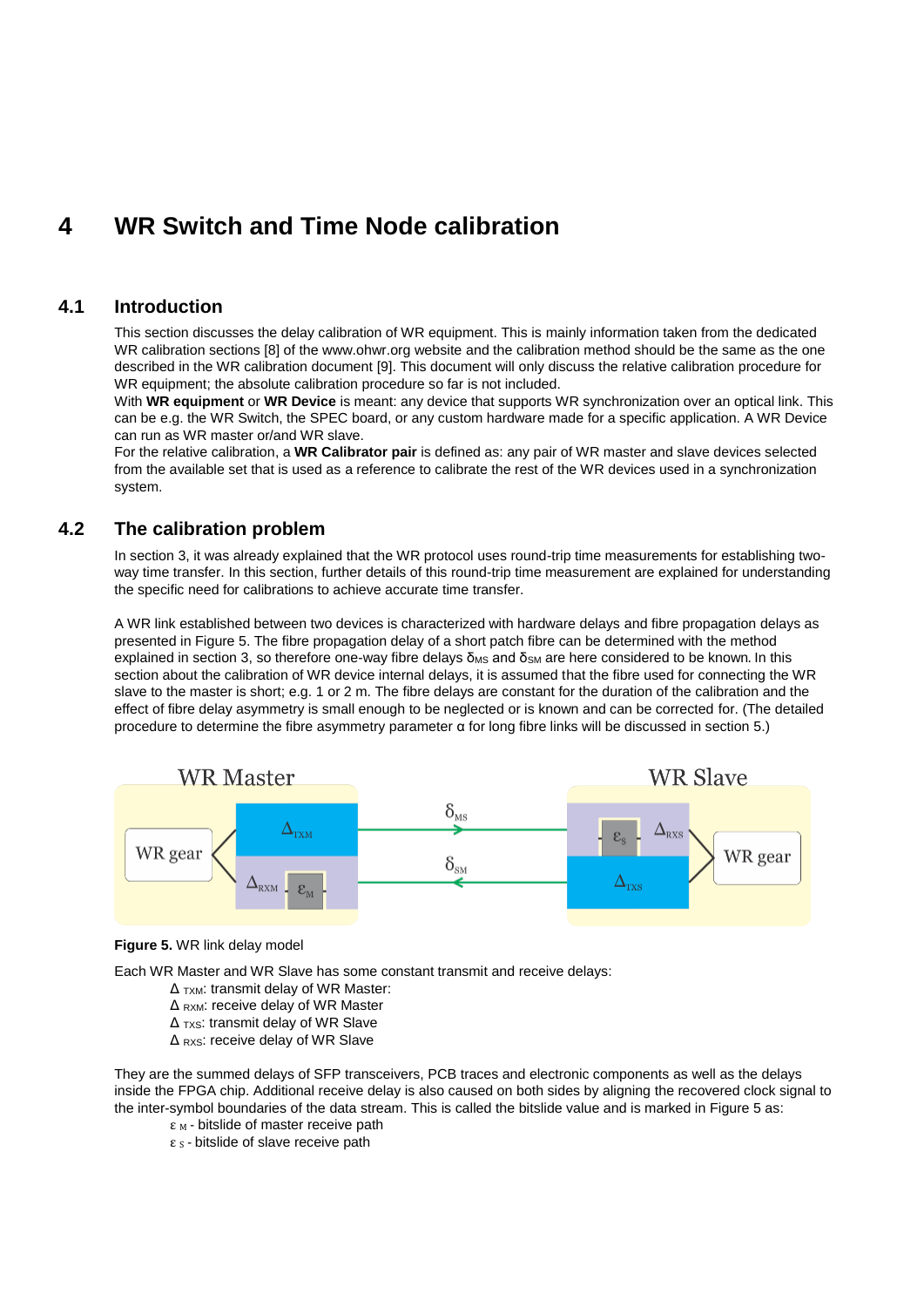## <span id="page-15-1"></span>**4 WR Switch and Time Node calibration**

## **4.1 Introduction**

This section discusses the delay calibration of WR equipment. This is mainly information taken from the dedicated WR calibration sections [\[8\]](#page-34-6) of the www.ohwr.org website and the calibration method should be the same as the one described in the WR calibration document [\[9\].](#page-34-7) This document will only discuss the relative calibration procedure for WR equipment; the absolute calibration procedure so far is not included.

With **WR equipment** or **WR Device** is meant: any device that supports WR synchronization over an optical link. This can be e.g. the WR Switch, the SPEC board, or any custom hardware made for a specific application. A WR Device can run as WR master or/and WR slave.

For the relative calibration, a **WR Calibrator pair** is defined as: any pair of WR master and slave devices selected from the available set that is used as a reference to calibrate the rest of the WR devices used in a synchronization system.

## **4.2 The calibration problem**

In sectio[n 3,](#page-10-2) it was already explained that the WR protocol uses round-trip time measurements for establishing twoway time transfer. In this section, further details of this round-trip time measurement are explained for understanding the specific need for calibrations to achieve accurate time transfer.

A WR link established between two devices is characterized with hardware delays and fibre propagation delays as presented i[n Figure 5.](#page-15-0) The fibre propagation delay of a short patch fibre can be determined with the method explained in section [3,](#page-10-2) so therefore one-way fibre delays  $\delta_{MS}$  and  $\delta_{SM}$  are here considered to be known. In this section about the calibration of WR device internal delays, it is assumed that the fibre used for connecting the WR slave to the master is short; e.g. 1 or 2 m. The fibre delays are constant for the duration of the calibration and the effect of fibre delay asymmetry is small enough to be neglected or is known and can be corrected for. (The detailed procedure to determine the fibre asymmetry parameter α for long fibre links will be discussed in section [5.](#page-22-0))



#### <span id="page-15-0"></span>**Figure 5.** WR link delay model

Each WR Master and WR Slave has some constant transmit and receive delays:

- $\Delta$ <sub>TXM</sub>: transmit delay of WR Master:
- Δ RXM: receive delay of WR Master
- Δ TXS: transmit delay of WR Slave
- Δ RXS: receive delay of WR Slave

They are the summed delays of SFP transceivers, PCB traces and electronic components as well as the delays inside the FPGA chip. Additional receive delay is also caused on both sides by aligning the recovered clock signal to the inter-symbol boundaries of the data stream. This is called the bitslide value and is marked in [Figure 5](#page-15-0) as:

 $ε<sub>M</sub>$  - bitslide of master receive path

 $\epsilon$  s - bitslide of slave receive path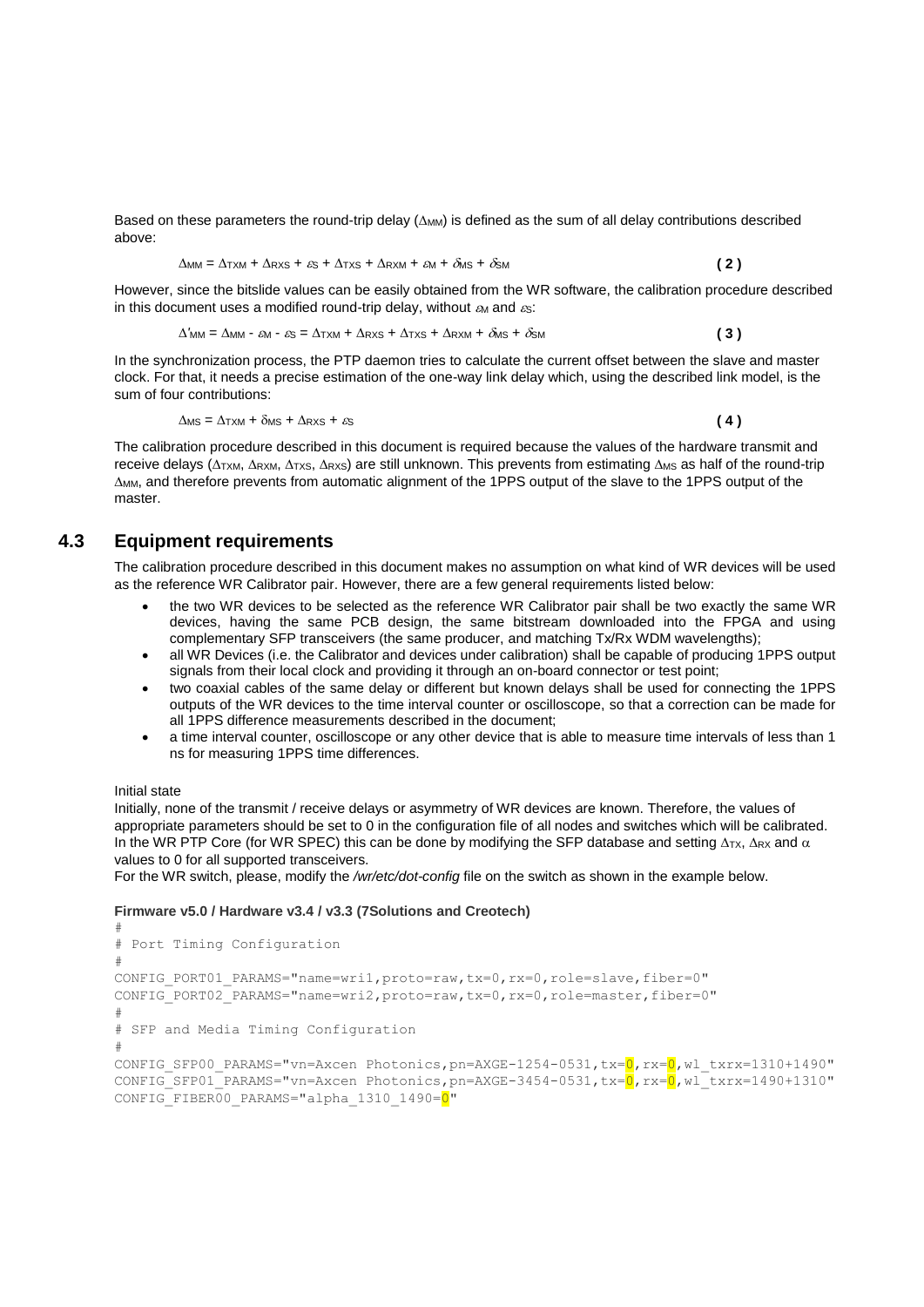Based on these parameters the round-trip delay  $(\Delta_{MM})$  is defined as the sum of all delay contributions described above:

$$
\Delta_{MM} = \Delta_{TXM} + \Delta_{RXS} + \varepsilon_S + \Delta_{TXS} + \Delta_{RXM} + \varepsilon_M + \delta_{MS} + \delta_{SM}
$$
 (2)

However, since the bitslide values can be easily obtained from the WR software, the calibration procedure described in this document uses a modified round-trip delay, without  $\epsilon_{\text{M}}$  and  $\epsilon_{\text{S}}$ :

$$
\Delta'_{MM} = \Delta_{MM} - \varepsilon_{M} - \varepsilon_{S} = \Delta_{TXM} + \Delta_{RXS} + \Delta_{TXS} + \Delta_{RXM} + \delta_{MS} + \delta_{SM}
$$
 (3)

In the synchronization process, the PTP daemon tries to calculate the current offset between the slave and master clock. For that, it needs a precise estimation of the one-way link delay which, using the described link model, is the sum of four contributions:

$$
\Delta \text{ms} = \Delta \text{txm} + \delta \text{ms} + \Delta \text{rxs} + \varepsilon \text{s}
$$
 (4)

The calibration procedure described in this document is required because the values of the hardware transmit and receive delays ( $\Delta$ TXM,  $\Delta$ RXM,  $\Delta$ TXS,  $\Delta$ RXS) are still unknown. This prevents from estimating  $\Delta$ MS as half of the round-trip MM, and therefore prevents from automatic alignment of the 1PPS output of the slave to the 1PPS output of the master.

## **4.3 Equipment requirements**

The calibration procedure described in this document makes no assumption on what kind of WR devices will be used as the reference WR Calibrator pair. However, there are a few general requirements listed below:

- the two WR devices to be selected as the reference WR Calibrator pair shall be two exactly the same WR devices, having the same PCB design, the same bitstream downloaded into the FPGA and using complementary SFP transceivers (the same producer, and matching Tx/Rx WDM wavelengths);
- all WR Devices (i.e. the Calibrator and devices under calibration) shall be capable of producing 1PPS output signals from their local clock and providing it through an on-board connector or test point;
- two coaxial cables of the same delay or different but known delays shall be used for connecting the 1PPS outputs of the WR devices to the time interval counter or oscilloscope, so that a correction can be made for all 1PPS difference measurements described in the document;
- a time interval counter, oscilloscope or any other device that is able to measure time intervals of less than 1 ns for measuring 1PPS time differences.

#### Initial state

Initially, none of the transmit / receive delays or asymmetry of WR devices are known. Therefore, the values of appropriate parameters should be set to 0 in the configuration file of all nodes and switches which will be calibrated. In the WR PTP Core (for WR SPEC) this can be done by modifying the SFP database and setting  $\Delta_{TX}$ ,  $\Delta_{RX}$  and  $\alpha$ values to 0 for all supported transceivers.

For the WR switch, please, modify the */wr/etc/dot-config* file on the switch as shown in the example below.

#### **Firmware v5.0 / Hardware v3.4 / v3.3 (7Solutions and Creotech)**

```
#
# Port Timing Configuration
#
CONFIG_PORT01_PARAMS="name=wri1,proto=raw,tx=0,rx=0,role=slave,fiber=0" 
CONFIG_PORT02_PARAMS="name=wri2,proto=raw,tx=0,rx=0,role=master,fiber=0" 
#
# SFP and Media Timing Configuration
#
CONFIG SFP00 PARAMS="vn=Axcen Photonics,pn=AXGE-1254-0531,tx=0,rx=0,wl txrx=1310+1490"
CONFIG SFP01 PARAMS="vn=Axcen Photonics, pn=AXGE-3454-0531, tx=0, rx=0, wl txrx=1490+1310"CONFIG_FIBER00_PARAMS="alpha_1310_1490=0"
```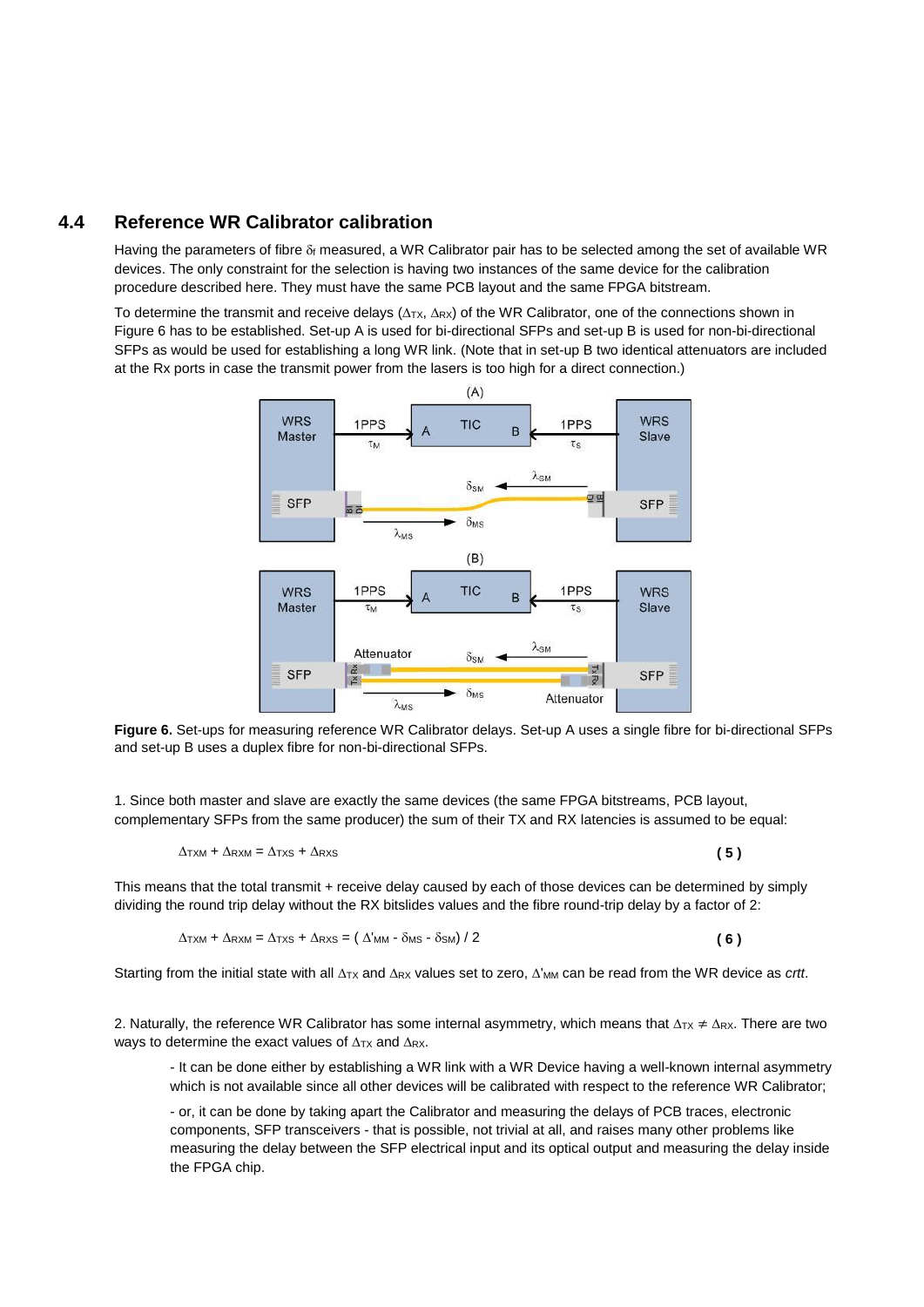## **4.4 Reference WR Calibrator calibration**

Having the parameters of fibre  $\delta_f$  measured, a WR Calibrator pair has to be selected among the set of available WR devices. The only constraint for the selection is having two instances of the same device for the calibration procedure described here. They must have the same PCB layout and the same FPGA bitstream.

To determine the transmit and receive delays ( $\Delta$ TX,  $\Delta$ RX) of the WR Calibrator, one of the connections shown in [Figure 6](#page-17-0) has to be established. Set-up A is used for bi-directional SFPs and set-up B is used for non-bi-directional SFPs as would be used for establishing a long WR link. (Note that in set-up B two identical attenuators are included at the Rx ports in case the transmit power from the lasers is too high for a direct connection.)



<span id="page-17-0"></span>**Figure 6.** Set-ups for measuring reference WR Calibrator delays. Set-up A uses a single fibre for bi-directional SFPs and set-up B uses a duplex fibre for non-bi-directional SFPs.

1. Since both master and slave are exactly the same devices (the same FPGA bitstreams, PCB layout, complementary SFPs from the same producer) the sum of their TX and RX latencies is assumed to be equal:

$$
\Delta_{\text{TXM}} + \Delta_{\text{RXM}} = \Delta_{\text{TXS}} + \Delta_{\text{RXS}} \tag{5}
$$

This means that the total transmit + receive delay caused by each of those devices can be determined by simply dividing the round trip delay without the RX bitslides values and the fibre round-trip delay by a factor of 2:

$$
\Delta \text{txm} + \Delta \text{rxm} = \Delta \text{txs} + \Delta \text{rxs} = (\Delta' \text{mm} - \delta \text{ms} - \delta \text{sm}) / 2
$$
 (6)

Starting from the initial state with all  $\Delta_{TX}$  and  $\Delta_{RX}$  values set to zero,  $\Delta'_{MM}$  can be read from the WR device as *crtt*.

2. Naturally, the reference WR Calibrator has some internal asymmetry, which means that  $\Delta_{TX} \neq \Delta_{RX}$ . There are two ways to determine the exact values of  $\Delta$ <sub>TX</sub> and  $\Delta$ <sub>RX</sub>.

- It can be done either by establishing a WR link with a WR Device having a well-known internal asymmetry which is not available since all other devices will be calibrated with respect to the reference WR Calibrator;

- or, it can be done by taking apart the Calibrator and measuring the delays of PCB traces, electronic components, SFP transceivers - that is possible, not trivial at all, and raises many other problems like measuring the delay between the SFP electrical input and its optical output and measuring the delay inside the FPGA chip.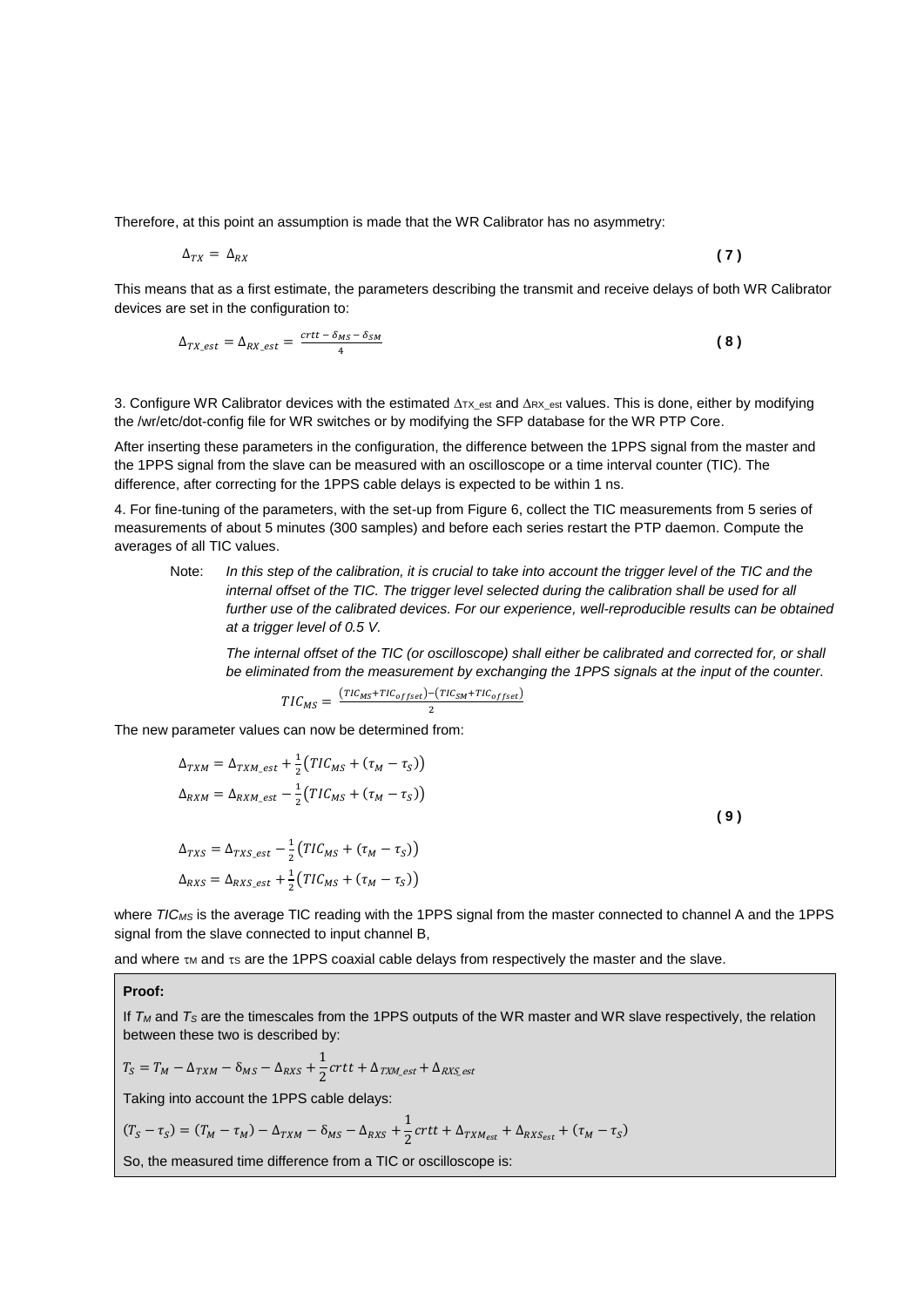Therefore, at this point an assumption is made that the WR Calibrator has no asymmetry:

$$
\Delta_{TX} = \Delta_{RX} \tag{7}
$$

This means that as a first estimate, the parameters describing the transmit and receive delays of both WR Calibrator devices are set in the configuration to:

$$
\Delta_{TX\_est} = \Delta_{RX\_est} = \frac{crtt - \delta_{MS} - \delta_{SM}}{4}
$$
 (8)

3. Configure WR Calibrator devices with the estimated  $\Delta_{TX\_est}$  and  $\Delta_{RX\_est}$  values. This is done, either by modifying the /wr/etc/dot-config file for WR switches or by modifying the SFP database for the WR PTP Core.

After inserting these parameters in the configuration, the difference between the 1PPS signal from the master and the 1PPS signal from the slave can be measured with an oscilloscope or a time interval counter (TIC). The difference, after correcting for the 1PPS cable delays is expected to be within 1 ns.

4. For fine-tuning of the parameters, with the set-up from [Figure 6,](#page-17-0) collect the TIC measurements from 5 series of measurements of about 5 minutes (300 samples) and before each series restart the PTP daemon. Compute the averages of all TIC values.

Note: *In this step of the calibration, it is crucial to take into account the trigger level of the TIC and the internal offset of the TIC. The trigger level selected during the calibration shall be used for all* further use of the calibrated devices. For our experience, well-reproducible results can be obtained *at a trigger level of 0.5 V.* 

*The internal offset of the TIC (or oscilloscope) shall either be calibrated and corrected for, or shall be eliminated from the measurement by exchanging the 1PPS signals at the input of the counter.*

$$
TIC_{MS} = \frac{(TIC_{MS} + TIC_{offset}) - (TIC_{SM} + TIC_{offset})}{2}
$$

The new parameter values can now be determined from:

$$
\Delta_{TXM} = \Delta_{TXM\_est} + \frac{1}{2} \left( TIC_{MS} + (\tau_M - \tau_S) \right)
$$
  
\n
$$
\Delta_{RXM} = \Delta_{RXM\_est} - \frac{1}{2} \left( TIC_{MS} + (\tau_M - \tau_S) \right)
$$
  
\n
$$
\Delta_{TXS} = \Delta_{TXS\_est} - \frac{1}{2} \left( TIC_{MS} + (\tau_M - \tau_S) \right)
$$
  
\n
$$
\Delta_{RXS} = \Delta_{RXS\_est} + \frac{1}{2} \left( TIC_{MS} + (\tau_M - \tau_S) \right)
$$
 (9)

where *TIC<sub>MS</sub>* is the average TIC reading with the 1PPS signal from the master connected to channel A and the 1PPS signal from the slave connected to input channel B,

and where  $\tau_M$  and  $\tau_S$  are the 1PPS coaxial cable delays from respectively the master and the slave.

#### **Proof:**

If *T<sup>M</sup>* and *T<sup>S</sup>* are the timescales from the 1PPS outputs of the WR master and WR slave respectively, the relation between these two is described by:

$$
T_S = T_M - \Delta_{TXM} - \delta_{MS} - \Delta_{RXS} + \frac{1}{2}crtt + \Delta_{TXM\_est} + \Delta_{RXS\_est}
$$

Taking into account the 1PPS cable delays:

$$
(T_S - \tau_S) = (T_M - \tau_M) - \Delta_{TXM} - \delta_{MS} - \Delta_{RXS} + \frac{1}{2}crtt + \Delta_{TXM_{est}} + \Delta_{RXS_{est}} + (\tau_M - \tau_S)
$$

So, the measured time difference from a TIC or oscilloscope is: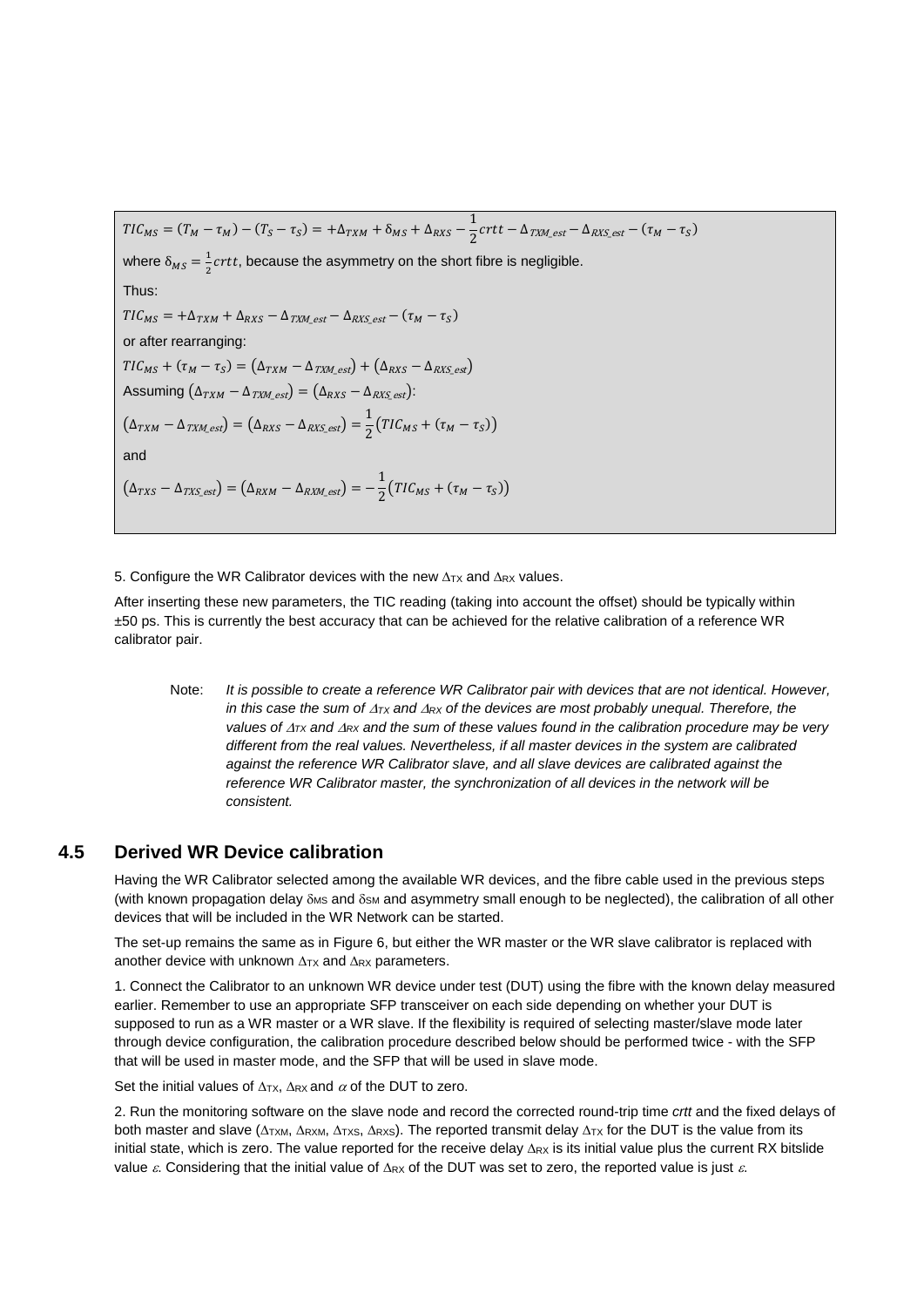$TIC_{MS} = (T_M - \tau_M) - (T_S - \tau_S) = +\Delta_{TXM} + \delta_{MS} + \Delta_{RXS} - \frac{1}{2}$  $\frac{1}{2}$  crtt –  $\Delta_{TXM\_est}$  –  $\Delta_{RXS\_est}$  –  $(\tau_M - \tau_S)$ where  $\delta_{MS} = \frac{1}{2}$  $\frac{1}{2}$ *crtt*, because the asymmetry on the short fibre is negligible. Thus:  $TIC_{MS} = +\Delta_{TXM} + \Delta_{RXS} - \Delta_{TXM\_est} - \Delta_{RXS\_est} - (\tau_M - \tau_S)$ or after rearranging:  $TIC_{MS} + (\tau_M - \tau_S) = (\Delta_{TXM} - \Delta_{TXM\_est}) + (\Delta_{RXS} - \Delta_{RXS\_est})$ Assuming  $(\Delta_{TXM} - \Delta_{TXM\,est}) = (\Delta_{RXS} - \Delta_{RXS\,est})$ :  $(\Delta_{TXM} - \Delta_{TXM\_est}) = (\Delta_{RXS} - \Delta_{RXS\_est}) = \frac{1}{2}$  $\frac{1}{2}(TIC_{MS} + (\tau_M - \tau_S))$ and  $(\Delta_{TXS} - \Delta_{TXS\_est}) = (\Delta_{RXM} - \Delta_{RXM\_est}) = -\frac{1}{2}$  $\frac{1}{2}(TIC_{MS} + (\tau_M - \tau_S))$ 

5. Configure the WR Calibrator devices with the new  $\Delta_{TX}$  and  $\Delta_{RX}$  values.

After inserting these new parameters, the TIC reading (taking into account the offset) should be typically within ±50 ps. This is currently the best accuracy that can be achieved for the relative calibration of a reference WR calibrator pair.

Note: *It is possible to create a reference WR Calibrator pair with devices that are not identical. However, in this case the sum of*  $\Delta_{TX}$  *and*  $\Delta_{RX}$  *of the devices are most probably unequal. Therefore, the values of*  $\Delta_{TX}$  *and*  $\Delta_{RX}$  *and the sum of these values found in the calibration procedure may be very different from the real values. Nevertheless, if all master devices in the system are calibrated against the reference WR Calibrator slave, and all slave devices are calibrated against the reference WR Calibrator master, the synchronization of all devices in the network will be consistent.*

## **4.5 Derived WR Device calibration**

Having the WR Calibrator selected among the available WR devices, and the fibre cable used in the previous steps (with known propagation delay  $\delta$ <sub>MS</sub> and  $\delta$ <sub>SM</sub> and asymmetry small enough to be neglected), the calibration of all other devices that will be included in the WR Network can be started.

The set-up remains the same as in [Figure 6,](#page-17-0) but either the WR master or the WR slave calibrator is replaced with another device with unknown  $\Delta_{TX}$  and  $\Delta_{RX}$  parameters.

1. Connect the Calibrator to an unknown WR device under test (DUT) using the fibre with the known delay measured earlier. Remember to use an appropriate SFP transceiver on each side depending on whether your DUT is supposed to run as a WR master or a WR slave. If the flexibility is required of selecting master/slave mode later through device configuration, the calibration procedure described below should be performed twice - with the SFP that will be used in master mode, and the SFP that will be used in slave mode.

Set the initial values of  $\Delta$ <sub>TX</sub>,  $\Delta$ <sub>RX</sub> and  $\alpha$  of the DUT to zero.

2. Run the monitoring software on the slave node and record the corrected round-trip time *crtt* and the fixed delays of both master and slave ( $\Delta$ TXM,  $\Delta$ RXM,  $\Delta$ TXS,  $\Delta$ RXS). The reported transmit delay  $\Delta$ TX for the DUT is the value from its initial state, which is zero. The value reported for the receive delay  $\Delta_{RX}$  is its initial value plus the current RX bitslide value  $\varepsilon$ . Considering that the initial value of  $\Delta_{RX}$  of the DUT was set to zero, the reported value is just  $\varepsilon$ .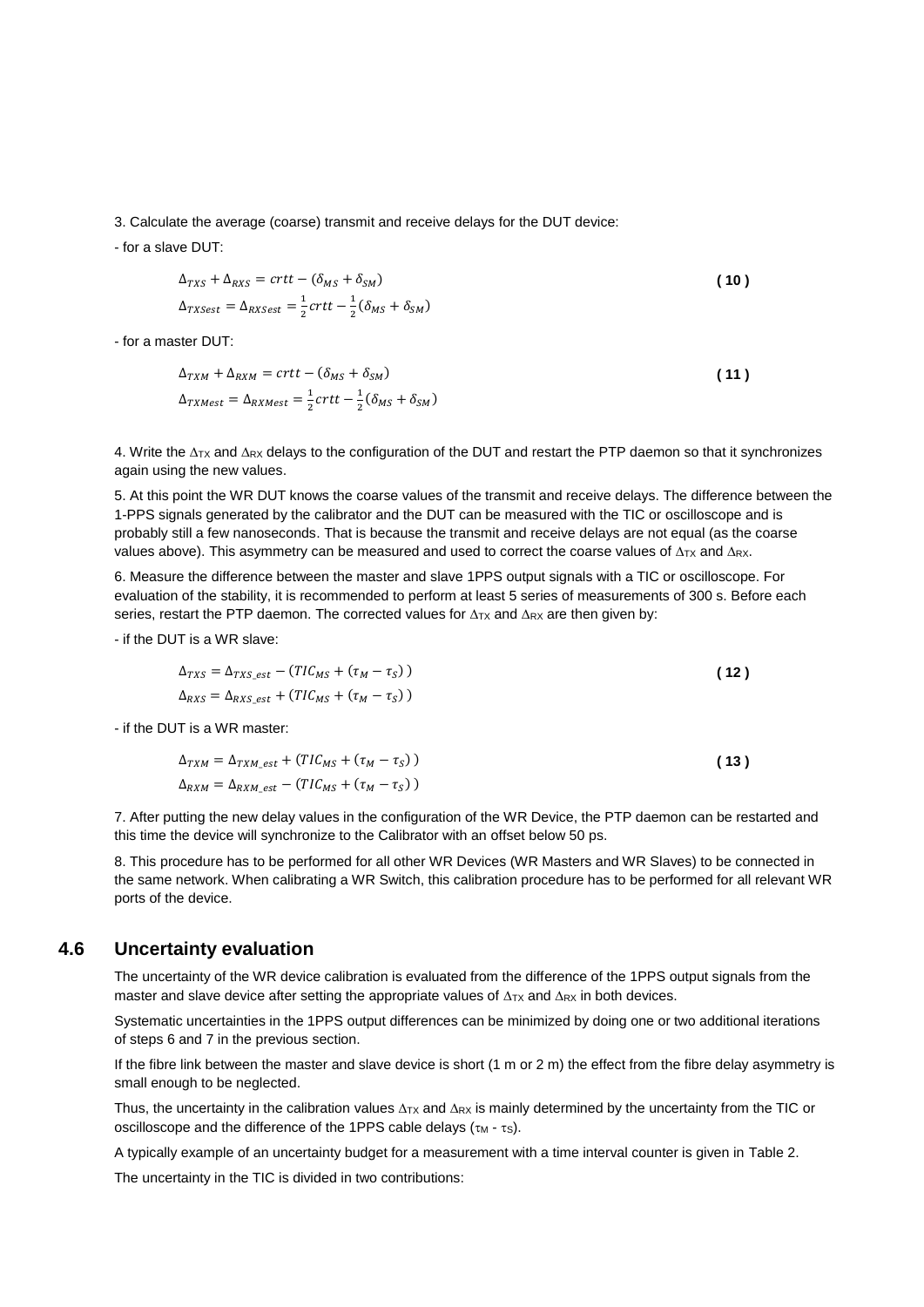3. Calculate the average (coarse) transmit and receive delays for the DUT device:

- for a slave DUT:

$$
\Delta_{TXS} + \Delta_{RXS} = crtt - (\delta_{MS} + \delta_{SM})
$$
\n
$$
\Delta_{TXSest} = \Delta_{RXSest} = \frac{1}{2}crtt - \frac{1}{2}(\delta_{MS} + \delta_{SM})
$$
\n(10)

- for a master DUT:

$$
\Delta_{TXM} + \Delta_{RXM} = crtt - (\delta_{MS} + \delta_{SM})
$$
\n
$$
\Delta_{TXMest} = \Delta_{RXMest} = \frac{1}{2}crtt - \frac{1}{2}(\delta_{MS} + \delta_{SM})
$$
\n(11)

4. Write the  $\Delta_{TX}$  and  $\Delta_{RX}$  delays to the configuration of the DUT and restart the PTP daemon so that it synchronizes again using the new values.

5. At this point the WR DUT knows the coarse values of the transmit and receive delays. The difference between the 1-PPS signals generated by the calibrator and the DUT can be measured with the TIC or oscilloscope and is probably still a few nanoseconds. That is because the transmit and receive delays are not equal (as the coarse values above). This asymmetry can be measured and used to correct the coarse values of  $\Delta_{TX}$  and  $\Delta_{RX}$ .

6. Measure the difference between the master and slave 1PPS output signals with a TIC or oscilloscope. For evaluation of the stability, it is recommended to perform at least 5 series of measurements of 300 s. Before each series, restart the PTP daemon. The corrected values for  $\Delta_{TX}$  and  $\Delta_{RX}$  are then given by:

- if the DUT is a WR slave:

$$
\Delta_{TXS} = \Delta_{TXS\_est} - (TIC_{MS} + (\tau_M - \tau_S))
$$
\n
$$
\Delta_{RXS} = \Delta_{RXS\_est} + (TIC_{MS} + (\tau_M - \tau_S))
$$
\n(12)

- if the DUT is a WR master:

$$
\Delta_{TXM} = \Delta_{TXM\_est} + (TIC_{MS} + (\tau_M - \tau_S))
$$
\n
$$
\Delta_{RXM} = \Delta_{RXM\_est} - (TIC_{MS} + (\tau_M - \tau_S))
$$
\n(13)

7. After putting the new delay values in the configuration of the WR Device, the PTP daemon can be restarted and this time the device will synchronize to the Calibrator with an offset below 50 ps.

8. This procedure has to be performed for all other WR Devices (WR Masters and WR Slaves) to be connected in the same network. When calibrating a WR Switch, this calibration procedure has to be performed for all relevant WR ports of the device.

### **4.6 Uncertainty evaluation**

The uncertainty of the WR device calibration is evaluated from the difference of the 1PPS output signals from the master and slave device after setting the appropriate values of  $\Delta_{TX}$  and  $\Delta_{RX}$  in both devices.

Systematic uncertainties in the 1PPS output differences can be minimized by doing one or two additional iterations of steps 6 and 7 in the previous section.

If the fibre link between the master and slave device is short (1 m or 2 m) the effect from the fibre delay asymmetry is small enough to be neglected.

Thus, the uncertainty in the calibration values  $\Delta_{TX}$  and  $\Delta_{RX}$  is mainly determined by the uncertainty from the TIC or oscilloscope and the difference of the 1PPS cable delays  $(\tau_M - \tau_S)$ .

A typically example of an uncertainty budget for a measurement with a time interval counter is given in [Table 2.](#page-21-0)

The uncertainty in the TIC is divided in two contributions: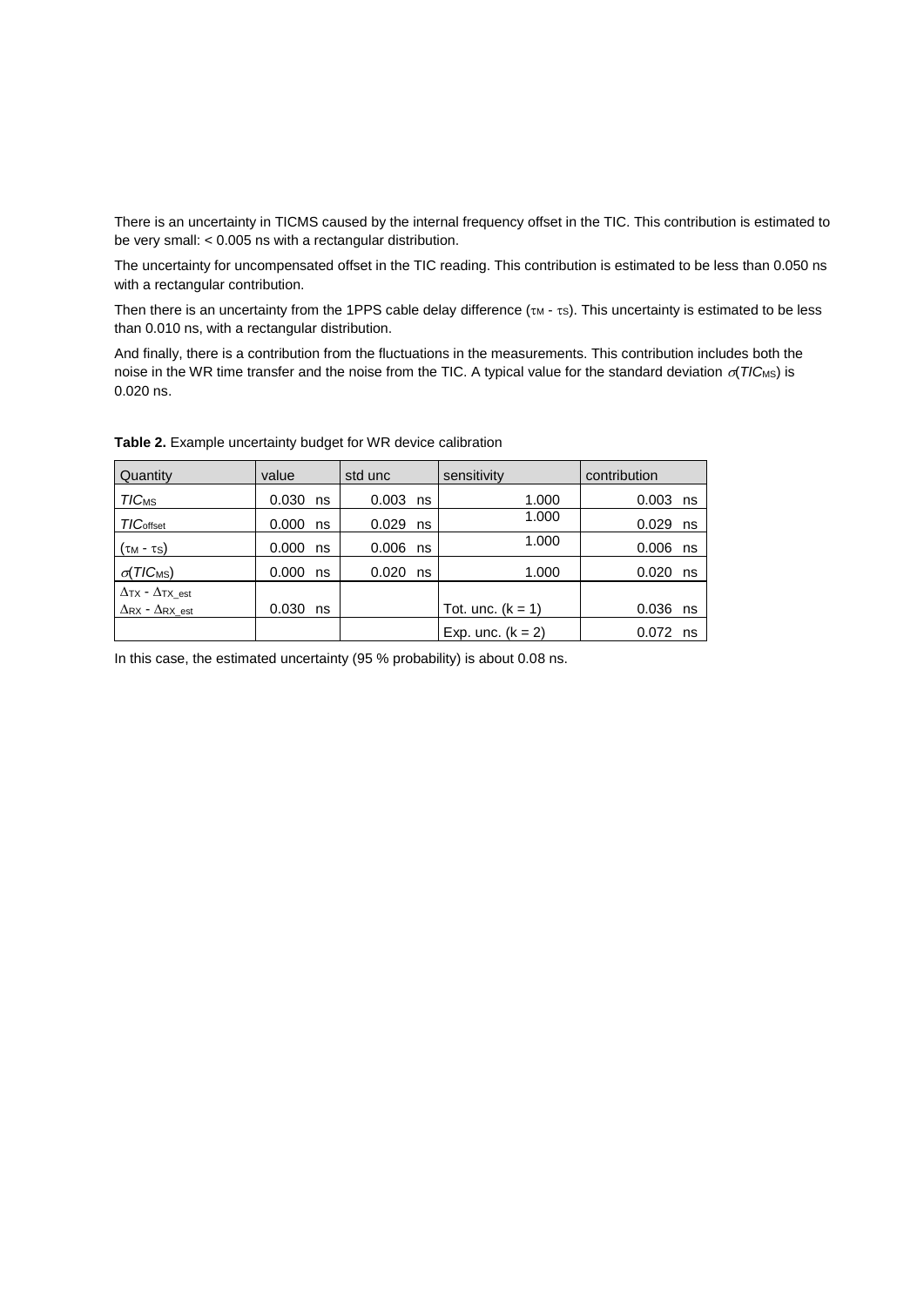There is an uncertainty in TICMS caused by the internal frequency offset in the TIC. This contribution is estimated to be very small: < 0.005 ns with a rectangular distribution.

The uncertainty for uncompensated offset in the TIC reading. This contribution is estimated to be less than 0.050 ns with a rectangular contribution.

Then there is an uncertainty from the 1PPS cable delay difference  $(\tau_M - \tau_S)$ . This uncertainty is estimated to be less than 0.010 ns, with a rectangular distribution.

And finally, there is a contribution from the fluctuations in the measurements. This contribution includes both the noise in the WR time transfer and the noise from the TIC. A typical value for the standard deviation  $\sigma(TIC_{MS})$  is 0.020 ns.

| Quantity                      | value       | std unc     | sensitivity         | contribution |
|-------------------------------|-------------|-------------|---------------------|--------------|
| <b>TICMS</b>                  | $0.030$ ns  | $0.003$ ns  | 1.000               | $0.003$ ns   |
| <b>TIC</b> offset             | 0.000<br>ns | 0.029<br>ns | 1.000               | 0.029<br>ns  |
| (τ <sub>M</sub> - τs)         | 0.000<br>ns | 0.006<br>ns | 1.000               | $0.006$ ns   |
| $\sigma(TIC_{MS})$            | 0.000<br>ns | 0.020<br>ns | 1.000               | 0.020<br>ns  |
| $\Delta$ TX - $\Delta$ TX est |             |             |                     |              |
| $\Delta$ RX - $\Delta$ RX est | 0.030<br>ns |             | Tot. unc. $(k = 1)$ | 0.036<br>ns  |
|                               |             |             | Exp. unc. $(k = 2)$ | $0.072$ ns   |

<span id="page-21-0"></span>**Table 2.** Example uncertainty budget for WR device calibration

In this case, the estimated uncertainty (95 % probability) is about 0.08 ns.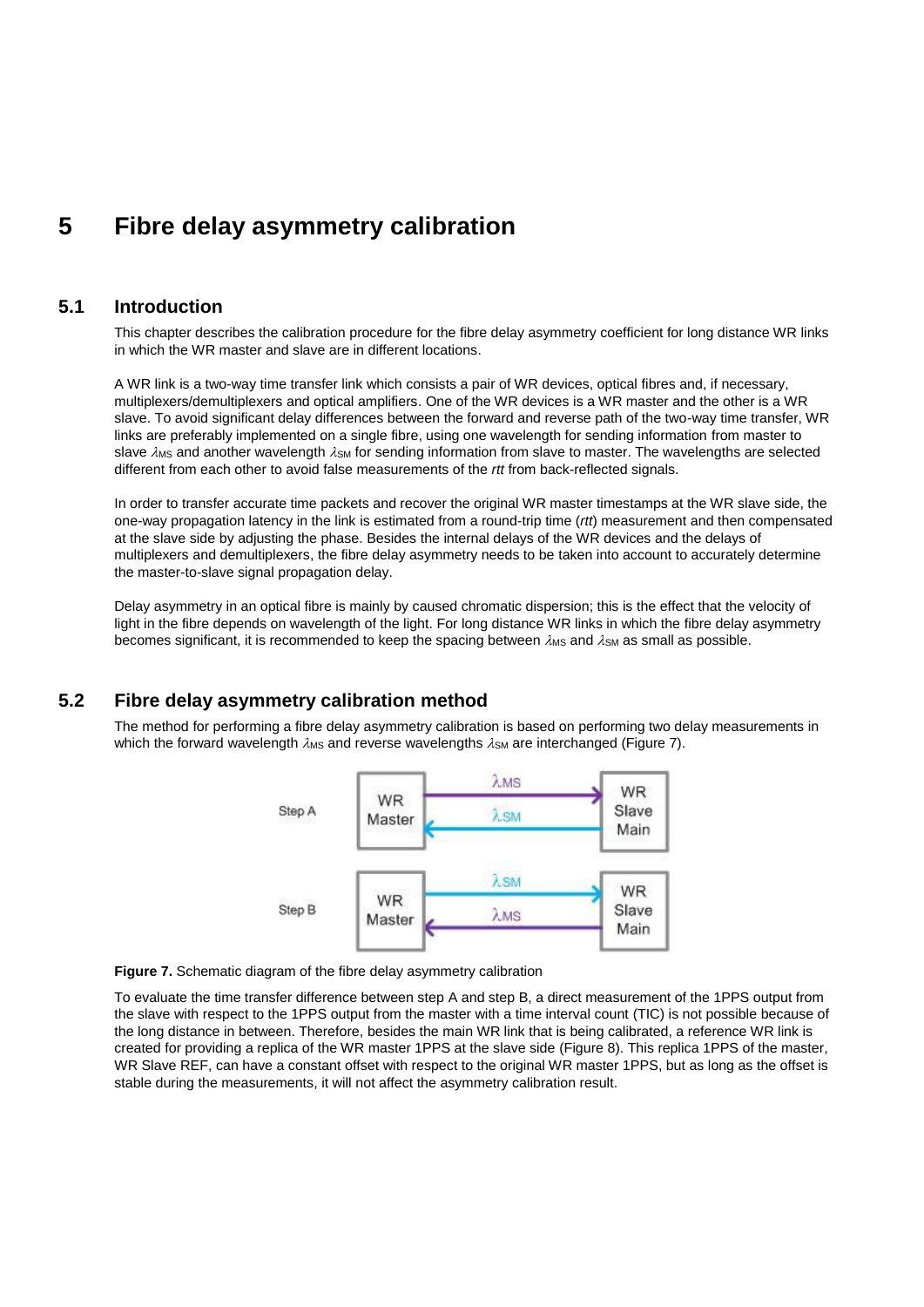## <span id="page-22-0"></span>**5 Fibre delay asymmetry calibration**

### **5.1 Introduction**

This chapter describes the calibration procedure for the fibre delay asymmetry coefficient for long distance WR links in which the WR master and slave are in different locations.

A WR link is a two-way time transfer link which consists a pair of WR devices, optical fibres and, if necessary, multiplexers/demultiplexers and optical amplifiers. One of the WR devices is a WR master and the other is a WR slave. To avoid significant delay differences between the forward and reverse path of the two-way time transfer, WR links are preferably implemented on a single fibre, using one wavelength for sending information from master to slave  $\lambda$ MS and another wavelength  $\lambda$ SM for sending information from slave to master. The wavelengths are selected different from each other to avoid false measurements of the *rtt* from back-reflected signals.

In order to transfer accurate time packets and recover the original WR master timestamps at the WR slave side, the one-way propagation latency in the link is estimated from a round-trip time (*rtt*) measurement and then compensated at the slave side by adjusting the phase. Besides the internal delays of the WR devices and the delays of multiplexers and demultiplexers, the fibre delay asymmetry needs to be taken into account to accurately determine the master-to-slave signal propagation delay.

Delay asymmetry in an optical fibre is mainly by caused chromatic dispersion; this is the effect that the velocity of light in the fibre depends on wavelength of the light. For long distance WR links in which the fibre delay asymmetry becomes significant, it is recommended to keep the spacing between  $\lambda_{\text{MS}}$  and  $\lambda_{\text{SM}}$  as small as possible.

### **5.2 Fibre delay asymmetry calibration method**

<span id="page-22-2"></span>The method for performing a fibre delay asymmetry calibration is based on performing two delay measurements in which the forward wavelength  $\lambda_{\text{MS}}$  and reverse wavelengths  $\lambda_{\text{SM}}$  are interchanged [\(Figure 7\)](#page-22-1).



<span id="page-22-1"></span>

To evaluate the time transfer difference between step A and step B, a direct measurement of the 1PPS output from the slave with respect to the 1PPS output from the master with a time interval count (TIC) is not possible because of the long distance in between. Therefore, besides the main WR link that is being calibrated, a reference WR link is created for providing a replica of the WR master 1PPS at the slave side [\(Figure 8\)](#page-23-0). This replica 1PPS of the master, WR Slave REF, can have a constant offset with respect to the original WR master 1PPS, but as long as the offset is stable during the measurements, it will not affect the asymmetry calibration result.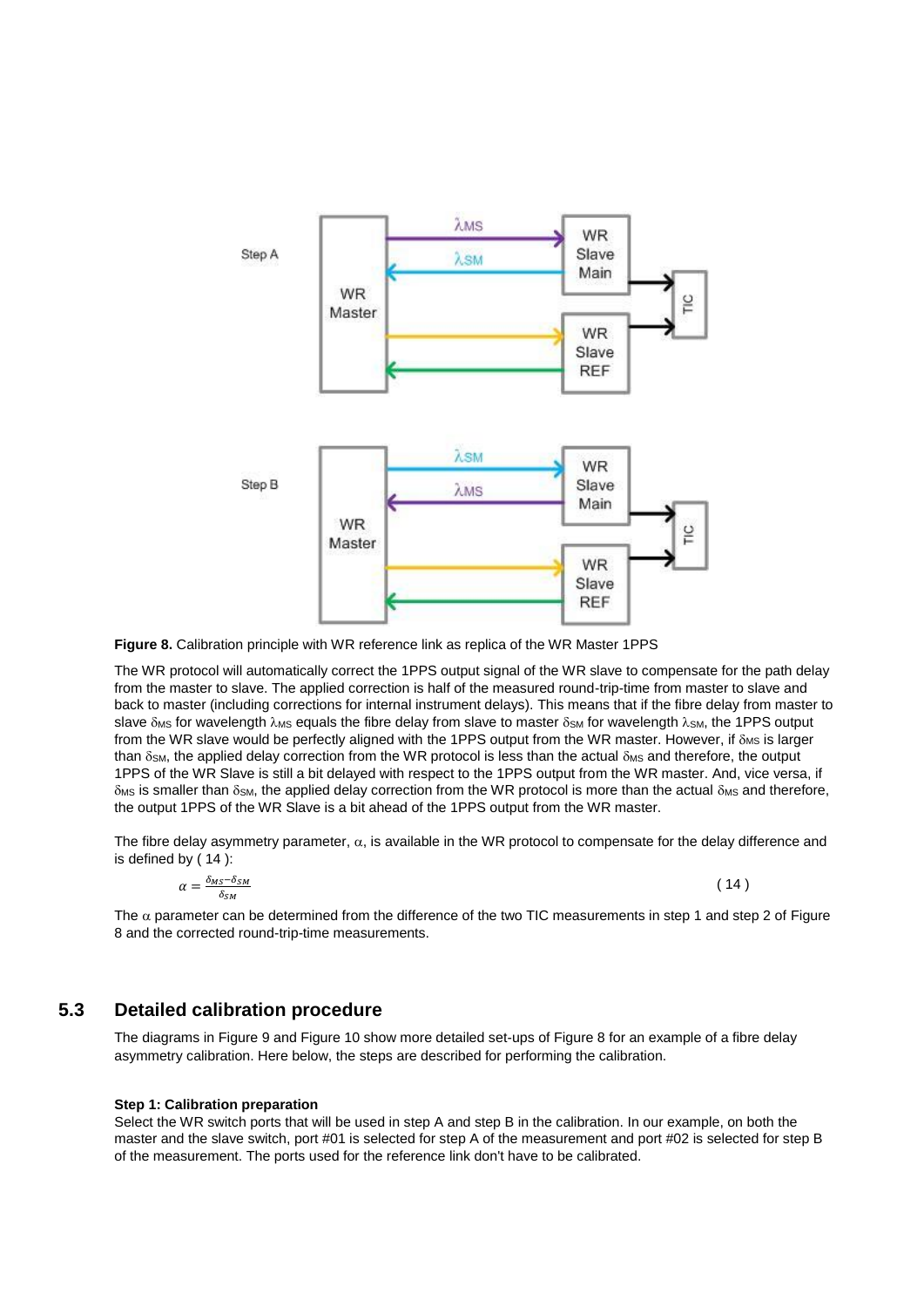

<span id="page-23-0"></span>**Figure 8.** Calibration principle with WR reference link as replica of the WR Master 1PPS

The WR protocol will automatically correct the 1PPS output signal of the WR slave to compensate for the path delay from the master to slave. The applied correction is half of the measured round-trip-time from master to slave and back to master (including corrections for internal instrument delays). This means that if the fibre delay from master to slave  $\delta_{MS}$  for wavelength  $\lambda_{MS}$  equals the fibre delay from slave to master  $\delta_{SM}$  for wavelength  $\lambda_{SM}$ , the 1PPS output from the WR slave would be perfectly aligned with the 1PPS output from the WR master. However, if  $\delta_{MS}$  is larger than  $\delta$ <sub>SM</sub>, the applied delay correction from the WR protocol is less than the actual  $\delta$ <sub>MS</sub> and therefore, the output 1PPS of the WR Slave is still a bit delayed with respect to the 1PPS output from the WR master. And, vice versa, if  $\delta$ <sub>MS</sub> is smaller than  $\delta$ <sub>SM</sub>, the applied delay correction from the WR protocol is more than the actual  $\delta$ <sub>MS</sub> and therefore, the output 1PPS of the WR Slave is a bit ahead of the 1PPS output from the WR master.

The fibre delay asymmetry parameter,  $\alpha$ , is available in the WR protocol to compensate for the delay difference and is defined b[y \( 14](#page-23-1) ):

$$
\alpha = \frac{\delta_{MS} - \delta_{SM}}{\delta_{SM}}
$$

<span id="page-23-1"></span> $(14)$ 

The  $\alpha$  parameter can be determined from the difference of the two TIC measurements in step 1 and step 2 of Figure [8](#page-23-0) and the corrected round-trip-time measurements.

## **5.3 Detailed calibration procedure**

The diagrams i[n Figure 9](#page-25-0) and [Figure 10](#page-26-0) show more detailed set-ups of [Figure 8](#page-23-0) for an example of a fibre delay asymmetry calibration. Here below, the steps are described for performing the calibration.

#### **Step 1: Calibration preparation**

Select the WR switch ports that will be used in step A and step B in the calibration. In our example, on both the master and the slave switch, port #01 is selected for step A of the measurement and port #02 is selected for step B of the measurement. The ports used for the reference link don't have to be calibrated.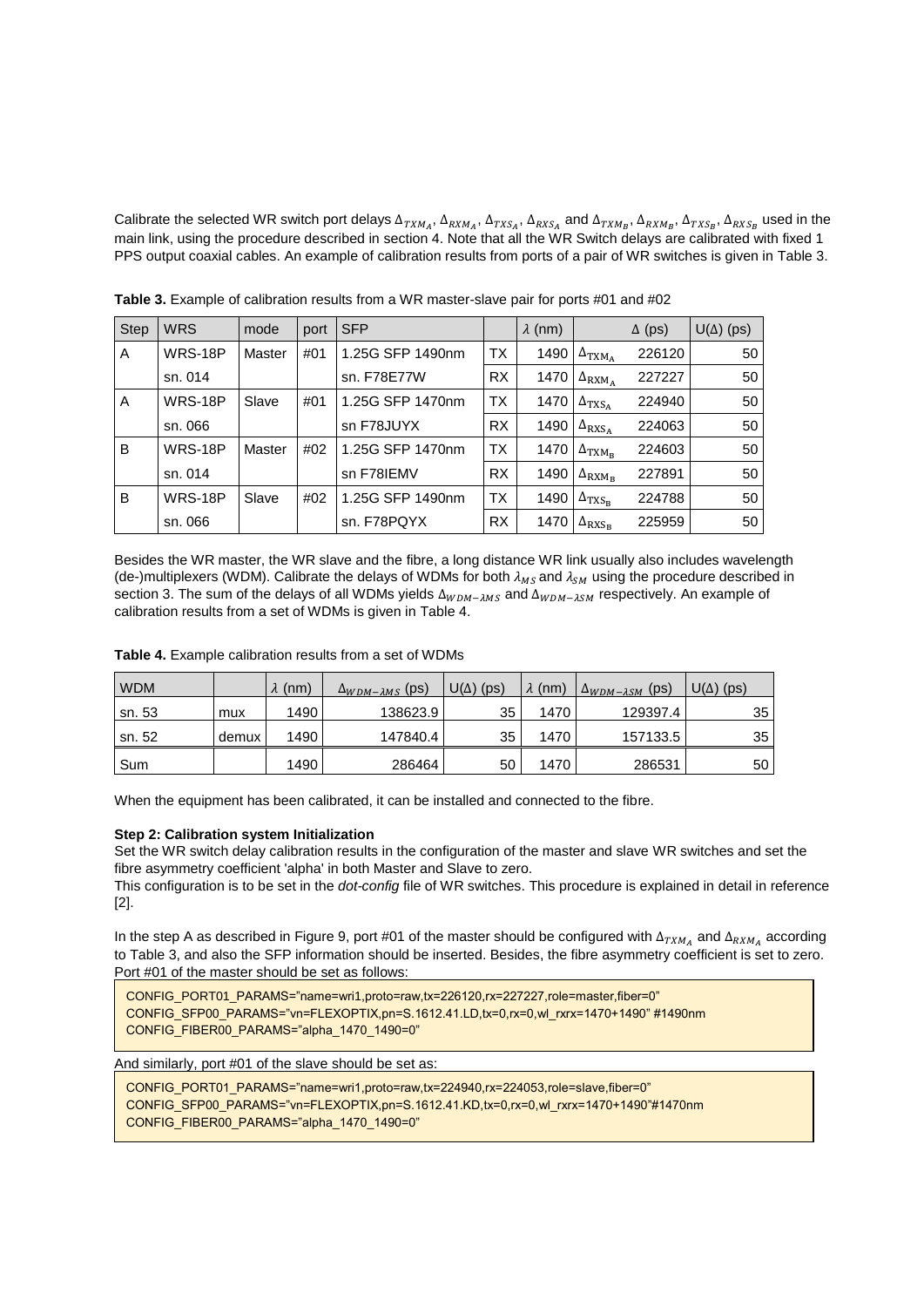Calibrate the selected WR switch port delays  $\Delta_{TXM_A}$ ,  $\Delta_{RXM_A}$ ,  $\Delta_{TXS_A}$ ,  $\Delta_{RXS_A}$  and  $\Delta_{TXM_B}$ ,  $\Delta_{RXM_B}$ ,  $\Delta_{TXS_B}$ ,  $\Delta_{RXS_B}$  used in the main link, using the procedure described in section [4.](#page-15-1) Note that all the WR Switch delays are calibrated with fixed 1 PPS output coaxial cables. An example of calibration results from ports of a pair of WR switches is given in [Table 3.](#page-24-0)

| <b>Step</b> | <b>WRS</b> | mode   | port | <b>SFP</b>       |           | $\lambda$ (nm) |                                     | $\Delta$ (ps) | $U(\Delta)$ (ps) |
|-------------|------------|--------|------|------------------|-----------|----------------|-------------------------------------|---------------|------------------|
| A           | WRS-18P    | Master | #01  | 1.25G SFP 1490nm | <b>TX</b> | 1490           | $\Delta_{\text{TXM}_A}$             | 226120        | 50               |
|             | sn. 014    |        |      | sn. F78E77W      | <b>RX</b> | 1470           | $\Delta_{\text{RXM}_A}$             | 227227        | 50               |
| A           | WRS-18P    | Slave  | #01  | 1.25G SFP 1470nm | <b>TX</b> | 1470           | $\Delta$ TXS <sub>A</sub>           | 224940        | 50               |
|             | sn. 066    |        |      | sn F78JUYX       | RX        | 1490           | $\Delta$ <sub>RXSA</sub>            | 224063        | 50               |
| B           | WRS-18P    | Master | #02  | 1.25G SFP 1470nm | ТX        | 1470           | $\Delta_{\text{TXM}_\text{B}}$      | 224603        | 50               |
|             | sn. 014    |        |      | sn F78IEMV       | <b>RX</b> | 1490           | $\Delta_{\text{RXM}_{\text{B}}}$    | 227891        | 50               |
| B           | WRS-18P    | Slave  | #02  | 1.25G SFP 1490nm | <b>TX</b> | 1490           | $\Delta$ <sub>TXS<sub>B</sub></sub> | 224788        | 50               |
|             | sn. 066    |        |      | sn. F78PQYX      | RX        | 1470           | $\Delta$ <sub>RXS<sub>R</sub></sub> | 225959        | 50               |

<span id="page-24-0"></span>**Table 3.** Example of calibration results from a WR master-slave pair for ports #01 and #02

Besides the WR master, the WR slave and the fibre, a long distance WR link usually also includes wavelength (de-)multiplexers (WDM). Calibrate the delays of WDMs for both  $\lambda_{MS}$  and  $\lambda_{SM}$  using the procedure described in sectio[n 3.](#page-10-2) The sum of the delays of all WDMs yields  $\Delta_{WDM-\lambda MS}$  and  $\Delta_{WDM-\lambda SM}$  respectively. An example of calibration results from a set of WDMs is given in [Table 4.](#page-24-1)

| <b>WDM</b> |       | $\lambda$ (nm) | $\Delta_{WDM-2MS}$ (ps) | $U(\Delta)$ (ps) | $\lambda$ (nm) | $\Delta_{WDM-\lambda SM}$ (ps) | $U(\Delta)$ (ps) |
|------------|-------|----------------|-------------------------|------------------|----------------|--------------------------------|------------------|
| sn. 53     | mux   | 1490           | 138623.9                | 35               | 1470           | 129397.4                       | 35               |
| sn. 52     | demux | 1490           | 147840.4                | 35               | 1470           | 157133.5                       | 35               |
| Sum        |       | 1490           | 286464                  | 50               | 1470           | 286531                         | 50               |

<span id="page-24-1"></span>**Table 4.** Example calibration results from a set of WDMs

When the equipment has been calibrated, it can be installed and connected to the fibre.

#### **Step 2: Calibration system Initialization**

Set the WR switch delay calibration results in the configuration of the master and slave WR switches and set the fibre asymmetry coefficient 'alpha' in both Master and Slave to zero.

This configuration is to be set in the *dot-config* file of WR switches. This procedure is explained in detail in reference [\[2\].](#page-34-4)

In the step A as described in [Figure 9,](#page-25-0) port #01 of the master should be configured with  $\Delta_{TXM_A}$  and  $\Delta_{RXM_A}$  according t[o Table 3,](#page-24-0) and also the SFP information should be inserted. Besides, the fibre asymmetry coefficient is set to zero. Port #01 of the master should be set as follows:

CONFIG\_PORT01\_PARAMS="name=wri1,proto=raw,tx=226120,rx=227227,role=master,fiber=0" CONFIG\_SFP00\_PARAMS="vn=FLEXOPTIX,pn=S.1612.41.LD,tx=0,rx=0,wl\_rxrx=1470+1490" #1490nm CONFIG\_FIBER00\_PARAMS="alpha\_1470\_1490=0"

And similarly, port #01 of the slave should be set as:

CONFIG\_PORT01\_PARAMS="name=wri1,proto=raw,tx=224940,rx=224053,role=slave,fiber=0" CONFIG\_SFP00\_PARAMS="vn=FLEXOPTIX,pn=S.1612.41.KD,tx=0,rx=0,wl\_rxrx=1470+1490"#1470nm CONFIG\_FIBER00\_PARAMS="alpha\_1470\_1490=0"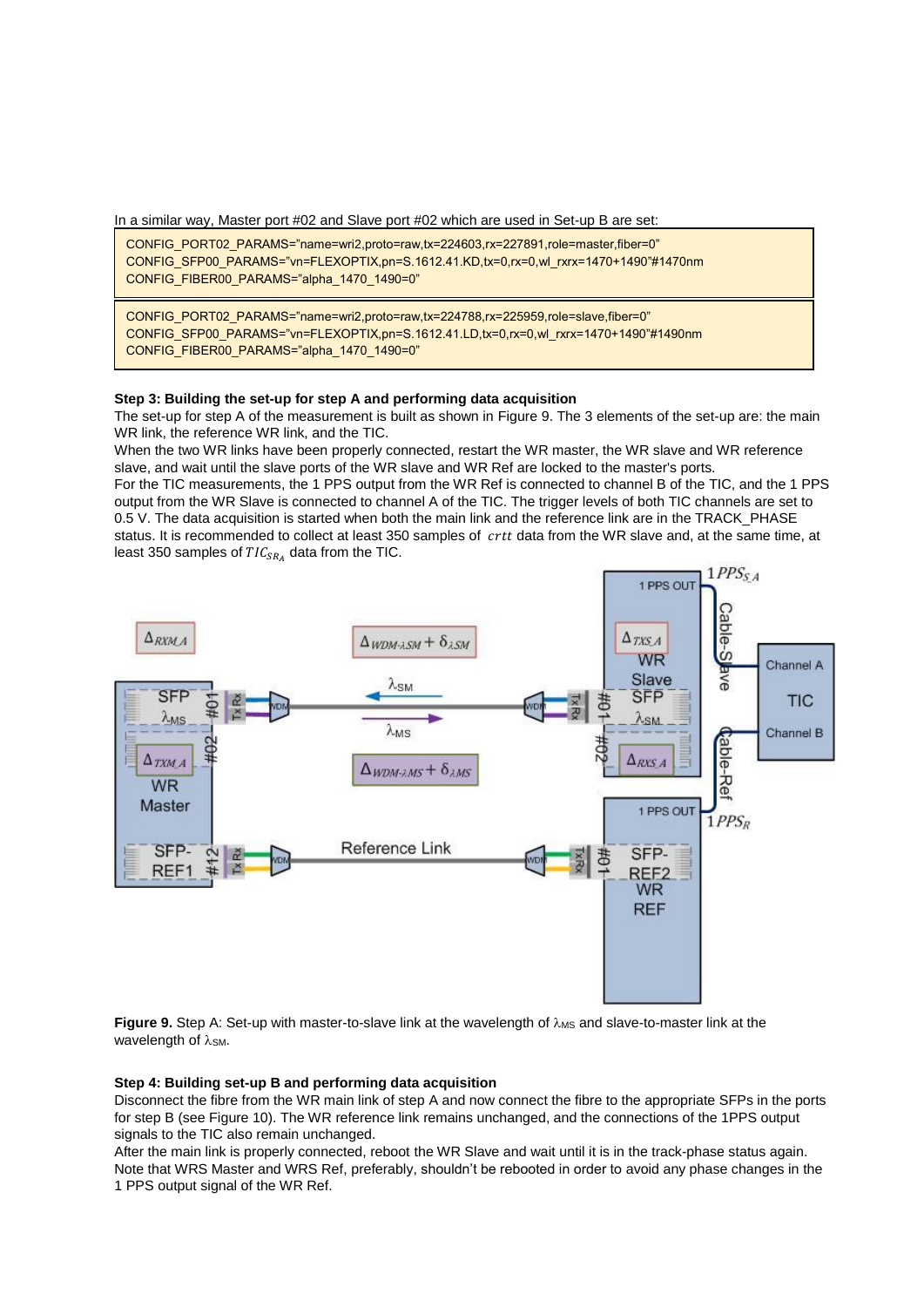In a similar way, Master port #02 and Slave port #02 which are used in Set-up B are set:

CONFIG\_PORT02\_PARAMS="name=wri2,proto=raw,tx=224603,rx=227891,role=master,fiber=0" CONFIG\_SFP00\_PARAMS="vn=FLEXOPTIX,pn=S.1612.41.KD,tx=0,rx=0,wl\_rxrx=1470+1490"#1470nm CONFIG\_FIBER00\_PARAMS="alpha\_1470\_1490=0"

CONFIG\_PORT02\_PARAMS="name=wri2,proto=raw,tx=224788,rx=225959,role=slave,fiber=0" CONFIG\_SFP00\_PARAMS="vn=FLEXOPTIX,pn=S.1612.41.LD,tx=0,rx=0,wl\_rxrx=1470+1490"#1490nm CONFIG\_FIBER00\_PARAMS="alpha\_1470\_1490=0"

#### **Step 3: Building the set-up for step A and performing data acquisition**

The set-up for step A of the measurement is built as shown in [Figure 9.](#page-25-0) The 3 elements of the set-up are: the main WR link, the reference WR link, and the TIC.

When the two WR links have been properly connected, restart the WR master, the WR slave and WR reference slave, and wait until the slave ports of the WR slave and WR Ref are locked to the master's ports.

For the TIC measurements, the 1 PPS output from the WR Ref is connected to channel B of the TIC, and the 1 PPS output from the WR Slave is connected to channel A of the TIC. The trigger levels of both TIC channels are set to 0.5 V. The data acquisition is started when both the main link and the reference link are in the TRACK\_PHASE status. It is recommended to collect at least 350 samples of crtt data from the WR slave and, at the same time, at least 350 samples of  $TIC_{SR_A}$  data from the TIC.



<span id="page-25-0"></span>**Figure 9.** Step A: Set-up with master-to-slave link at the wavelength of  $\lambda_{\text{MS}}$  and slave-to-master link at the wavelength of  $\lambda$ <sub>SM</sub>.

#### **Step 4: Building set-up B and performing data acquisition**

Disconnect the fibre from the WR main link of step A and now connect the fibre to the appropriate SFPs in the ports for step B (se[e Figure 10\)](#page-26-0). The WR reference link remains unchanged, and the connections of the 1PPS output signals to the TIC also remain unchanged.

After the main link is properly connected, reboot the WR Slave and wait until it is in the track-phase status again. Note that WRS Master and WRS Ref, preferably, shouldn't be rebooted in order to avoid any phase changes in the 1 PPS output signal of the WR Ref.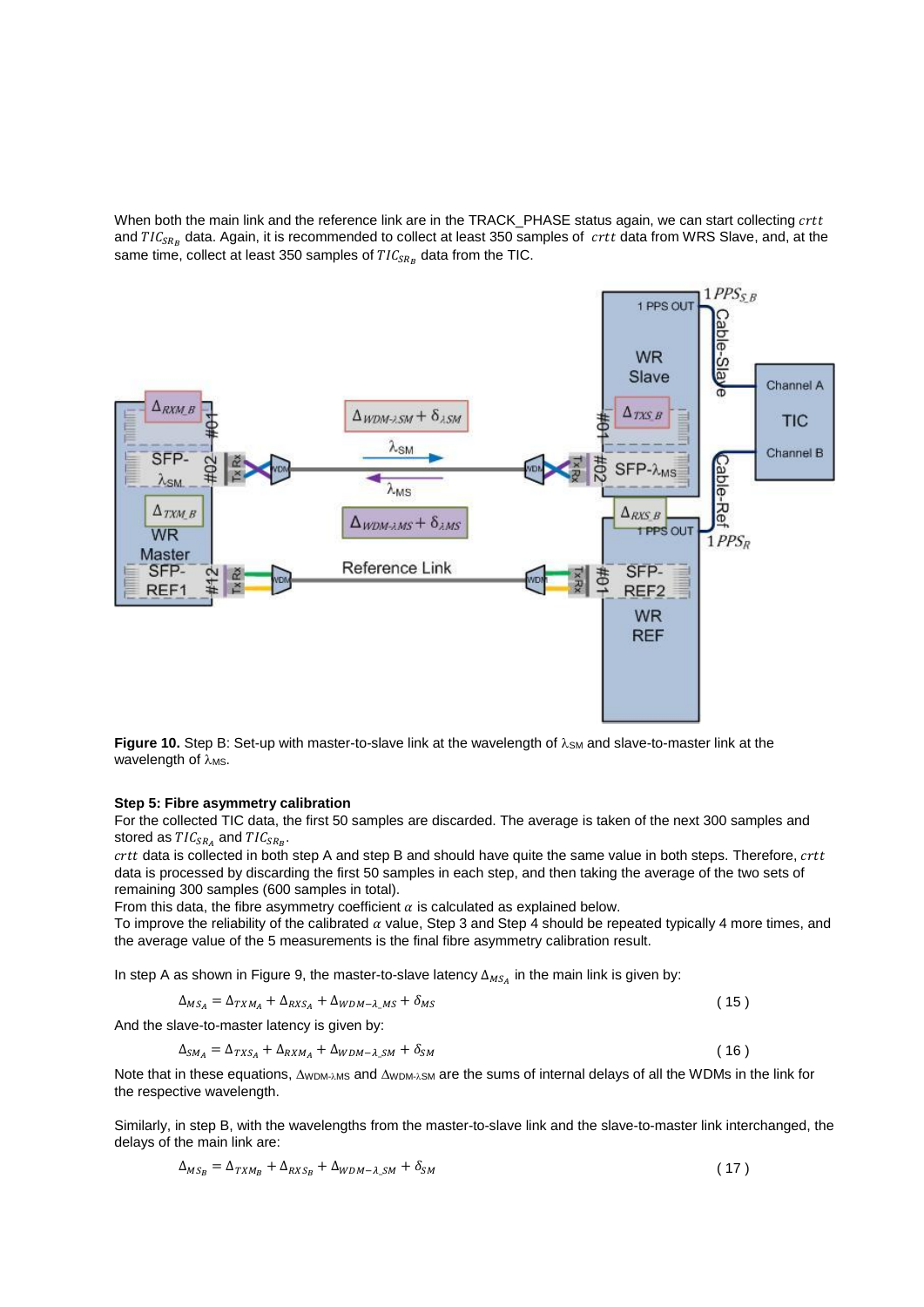When both the main link and the reference link are in the TRACK\_PHASE status again, we can start collecting crtt and  $TIC_{SR_B}$  data. Again, it is recommended to collect at least 350 samples of  $\;crit$  data from WRS Slave, and, at the same time, collect at least 350 samples of  $TIC_{SR_B}$  data from the TIC.



<span id="page-26-0"></span>Figure 10. Step B: Set-up with master-to-slave link at the wavelength of  $\lambda$ <sub>SM</sub> and slave-to-master link at the wavelength of λ<sub>MS</sub>.

#### **Step 5: Fibre asymmetry calibration**

For the collected TIC data, the first 50 samples are discarded. The average is taken of the next 300 samples and stored as  $TIC_{SR_A}$  and  $TIC_{SR_B}$ .

 $crtt$  data is collected in both step A and step B and should have quite the same value in both steps. Therefore,  $crtt$ data is processed by discarding the first 50 samples in each step, and then taking the average of the two sets of remaining 300 samples (600 samples in total).

From this data, the fibre asymmetry coefficient  $\alpha$  is calculated as explained below.

To improve the reliability of the calibrated  $\alpha$  value, Step 3 and Step 4 should be repeated typically 4 more times, and the average value of the 5 measurements is the final fibre asymmetry calibration result.

In step A as shown in [Figure 9,](#page-25-0) the master-to-slave latency  $\Delta_{MS_A}$  in the main link is given by:

$$
\Delta_{MS_A} = \Delta_{TXM_A} + \Delta_{RXS_A} + \Delta_{WDM - \lambda \_MS} + \delta_{MS} \tag{15}
$$

And the slave-to-master latency is given by:

$$
\Delta_{SM_A} = \Delta_{TXS_A} + \Delta_{RXM_A} + \Delta_{WDM - \lambda \_SM} + \delta_{SM} \tag{16}
$$

Note that in these equations, AWDM-AMS and AWDM-ASM are the sums of internal delays of all the WDMs in the link for the respective wavelength.

Similarly, in step B, with the wavelengths from the master-to-slave link and the slave-to-master link interchanged, the delays of the main link are:

$$
\Delta_{MS_B} = \Delta_{TXM_B} + \Delta_{RXS_B} + \Delta_{WDM-\lambda\_SM} + \delta_{SM}
$$
\n(17)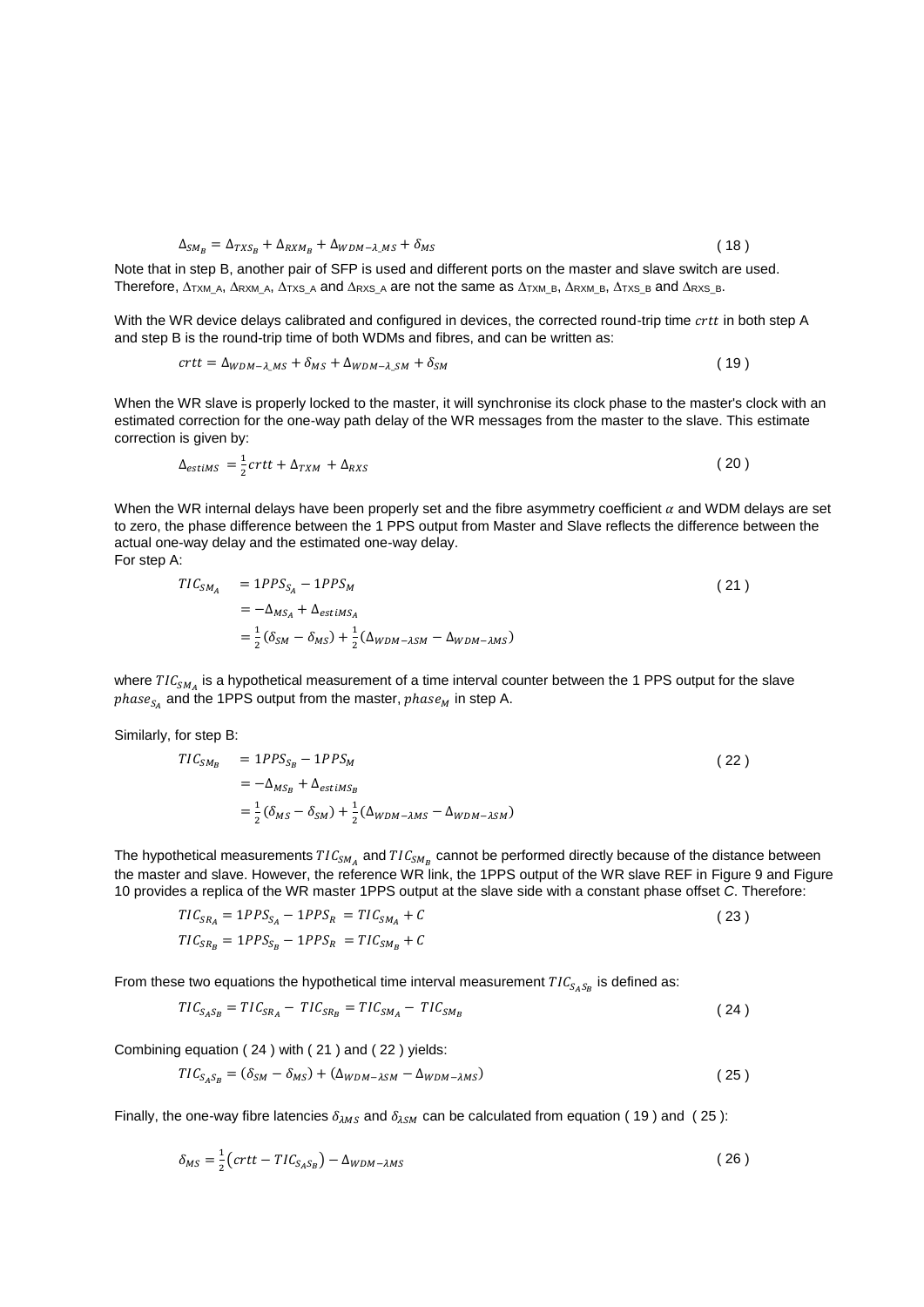$$
\Delta_{SM_B} = \Delta_{TXS_B} + \Delta_{RXM_B} + \Delta_{WDM-\lambda\_MS} + \delta_{MS}
$$
\n(18)

Note that in step B, another pair of SFP is used and different ports on the master and slave switch are used. Therefore,  $\Delta$ TXM A,  $\Delta$ RXM A,  $\Delta$ TXS A and  $\Delta$ RXS A are not the same as  $\Delta$ TXM B,  $\Delta$ RXM B,  $\Delta$ TXS B and  $\Delta$ RXS B.

With the WR device delays calibrated and configured in devices, the corrected round-trip time crtt in both step A and step B is the round-trip time of both WDMs and fibres, and can be written as:

<span id="page-27-3"></span>
$$
crtt = \Delta_{WDM-\lambda\_{MS}} + \delta_{MS} + \Delta_{WDM-\lambda\_{SM}} + \delta_{SM}
$$
\n(19)

When the WR slave is properly locked to the master, it will synchronise its clock phase to the master's clock with an estimated correction for the one-way path delay of the WR messages from the master to the slave. This estimate correction is given by:

$$
\Delta_{estims} = \frac{1}{2} crtt + \Delta_{TXM} + \Delta_{RXS} \tag{20}
$$

When the WR internal delays have been properly set and the fibre asymmetry coefficient  $\alpha$  and WDM delays are set to zero, the phase difference between the 1 PPS output from Master and Slave reflects the difference between the actual one-way delay and the estimated one-way delay. For step A:

<span id="page-27-1"></span>
$$
TIC_{SM_A} = 1PPS_{S_A} - 1PPS_M
$$
  
=  $-\Delta_{MS_A} + \Delta_{estiMS_A}$   
=  $\frac{1}{2}(\delta_{SM} - \delta_{MS}) + \frac{1}{2}(\Delta_{WDM - \lambda SM} - \Delta_{WDM - \lambda MS})$  (21)

where  $TIC_{SM_A}$  is a hypothetical measurement of a time interval counter between the 1 PPS output for the slave  $phase_{S_A}$  and the 1PPS output from the master,  $phase_M$  in step A.

Similarly, for step B:

<span id="page-27-2"></span>
$$
TIC_{SM_B} = 1PPS_{S_B} - 1PPS_M
$$
  
=  $-\Delta_{MS_B} + \Delta_{estimS_B}$   
=  $\frac{1}{2}(\delta_{MS} - \delta_{SM}) + \frac{1}{2}(\Delta_{WDM - \lambda MS} - \Delta_{WDM - \lambda SM})$  (22)

The hypothetical measurements  $TIC_{SM_A}$  and  $TIC_{SM_B}$  cannot be performed directly because of the distance between the master and slave. However, the reference WR link, the 1PPS output of the WR slave REF in [Figure 9](#page-25-0) an[d Figure](#page-26-0)  [10](#page-26-0) provides a replica of the WR master 1PPS output at the slave side with a constant phase offset *C*. Therefore:

$$
TIC_{SR_A} = 1PPS_{SA} - 1PPS_R = TIC_{SM_A} + C
$$
  
\n
$$
TIC_{SR_B} = 1PPS_{S_B} - 1PPS_R = TIC_{SM_B} + C
$$
\n(23)

From these two equations the hypothetical time interval measurement  $TIC_{S_A S_B}$  is defined as:

<span id="page-27-0"></span>
$$
TIC_{S_A S_B} = TIC_{SR_A} - TIC_{SR_B} = TIC_{SM_A} - TIC_{SM_B}
$$
\n
$$
(24)
$$

Combining equation [\( 24](#page-27-0) ) with [\( 21](#page-27-1) ) and [\( 22](#page-27-2) ) yields:

<span id="page-27-4"></span>
$$
TIC_{S_A S_B} = (\delta_{SM} - \delta_{MS}) + (\Delta_{WDM - \lambda SM} - \Delta_{WDM - \lambda MS})
$$
\n(25)

Finally, the one-way fibre latencies  $\delta_{\lambda MS}$  and  $\delta_{\lambda SM}$  can be calculated from equation (19) and (25):

$$
\delta_{MS} = \frac{1}{2} \left( \text{crtt} - \text{TIC}_{S_A S_B} \right) - \Delta_{WDM - \lambda MS} \tag{26}
$$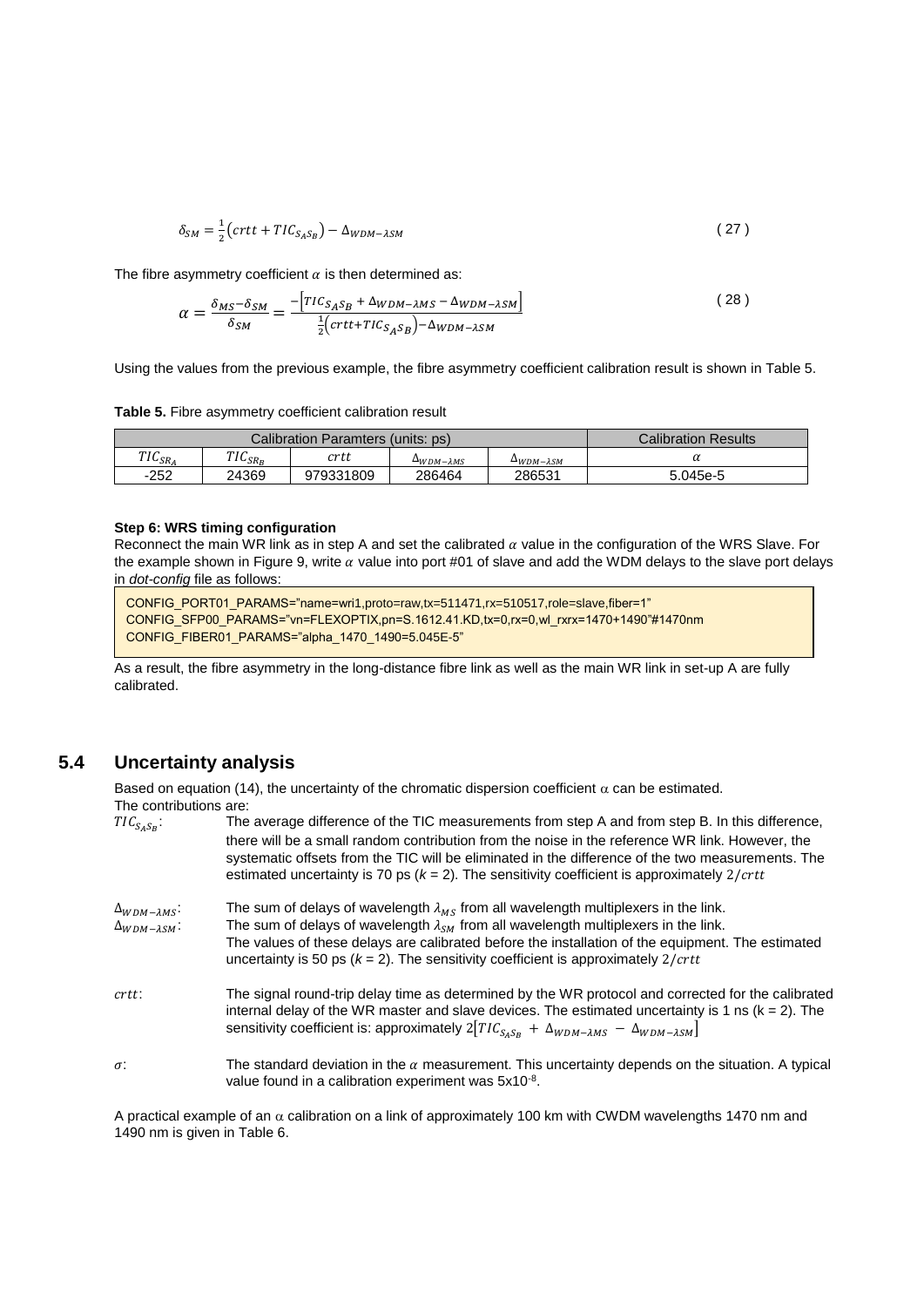$$
\delta_{SM} = \frac{1}{2} \left( crit + TIC_{S_A S_B} \right) - \Delta_{WDM - \lambda SM} \tag{27}
$$

The fibre asymmetry coefficient  $\alpha$  is then determined as:

$$
\alpha = \frac{\delta_{MS} - \delta_{SM}}{\delta_{SM}} = \frac{-\left[TIC_{S_A S_B} + \Delta_{WDM - \lambda MS} - \Delta_{WDM - \lambda SM}\right]}{\frac{1}{2}\left(\text{crtt} + TIC_{S_A S_B}\right) - \Delta_{WDM - \lambda SM}}
$$
\n(28)

Using the values from the previous example, the fibre asymmetry coefficient calibration result is shown in [Table 5.](#page-28-0)

<span id="page-28-0"></span>**Table 5.** Fibre asymmetry coefficient calibration result

|                   | Calibration Paramters (units: ps)            | Calibration Results |                            |                            |          |
|-------------------|----------------------------------------------|---------------------|----------------------------|----------------------------|----------|
| TIC<br>$11C_{SR}$ | <b>TIC</b><br>$10$ <sub>SR<sub>p</sub></sub> | crtt                | $\Delta$ WDM- $\lambda$ MS | $\Delta$ WDM- $\lambda$ SM |          |
| $-252$            | 24369                                        | 979331809           | 286464                     | 286531                     | 5.045e-5 |

#### **Step 6: WRS timing configuration**

Reconnect the main WR link as in step A and set the calibrated  $\alpha$  value in the configuration of the WRS Slave. For the example shown in [Figure 9,](#page-25-0) write  $\alpha$  value into port #01 of slave and add the WDM delays to the slave port delays in *dot-config* file as follows:

CONFIG\_PORT01\_PARAMS="name=wri1,proto=raw,tx=511471,rx=510517,role=slave,fiber=1" CONFIG\_SFP00\_PARAMS="vn=FLEXOPTIX,pn=S.1612.41.KD,tx=0,rx=0,wl\_rxrx=1470+1490"#1470nm CONFIG\_FIBER01\_PARAMS="alpha\_1470\_1490=5.045E-5"

As a result, the fibre asymmetry in the long-distance fibre link as well as the main WR link in set-up A are fully calibrated.

## **5.4 Uncertainty analysis**

Based on equation (14), the uncertainty of the chromatic dispersion coefficient  $\alpha$  can be estimated. The contributions are:

| $TIC_{S_A S_B}$ :                                   | The average difference of the TIC measurements from step A and from step B. In this difference,<br>there will be a small random contribution from the noise in the reference WR link. However, the<br>systematic offsets from the TIC will be eliminated in the difference of the two measurements. The<br>estimated uncertainty is 70 ps $(k = 2)$ . The sensitivity coefficient is approximately 2/crtt |
|-----------------------------------------------------|-----------------------------------------------------------------------------------------------------------------------------------------------------------------------------------------------------------------------------------------------------------------------------------------------------------------------------------------------------------------------------------------------------------|
| $\Delta_{WDM-\lambda MS}$ :<br>$\Delta_{WDM-3SM}$ : | The sum of delays of wavelength $\lambda_{MS}$ from all wavelength multiplexers in the link.<br>The sum of delays of wavelength $\lambda_{SM}$ from all wavelength multiplexers in the link.<br>The values of these delays are calibrated before the installation of the equipment. The estimated<br>uncertainty is 50 ps $(k = 2)$ . The sensitivity coefficient is approximately 2/ <i>crtt</i>         |
| crtt:                                               | The signal round-trip delay time as determined by the WR protocol and corrected for the calibrated<br>internal delay of the WR master and slave devices. The estimated uncertainty is 1 ns ( $k = 2$ ). The<br>sensitivity coefficient is: approximately $2[TIC_{S_4S_R} + \Delta_{WDM-\lambda MS} - \Delta_{WDM-\lambda SM}]$                                                                            |
| $\sigma$ :                                          | The standard deviation in the $\alpha$ measurement. This uncertainty depends on the situation. A typical<br>value found in a calibration experiment was 5x10 <sup>-8</sup> .                                                                                                                                                                                                                              |

A practical example of an  $\alpha$  calibration on a link of approximately 100 km with CWDM wavelengths 1470 nm and 1490 nm is given in [Table 6.](#page-29-0)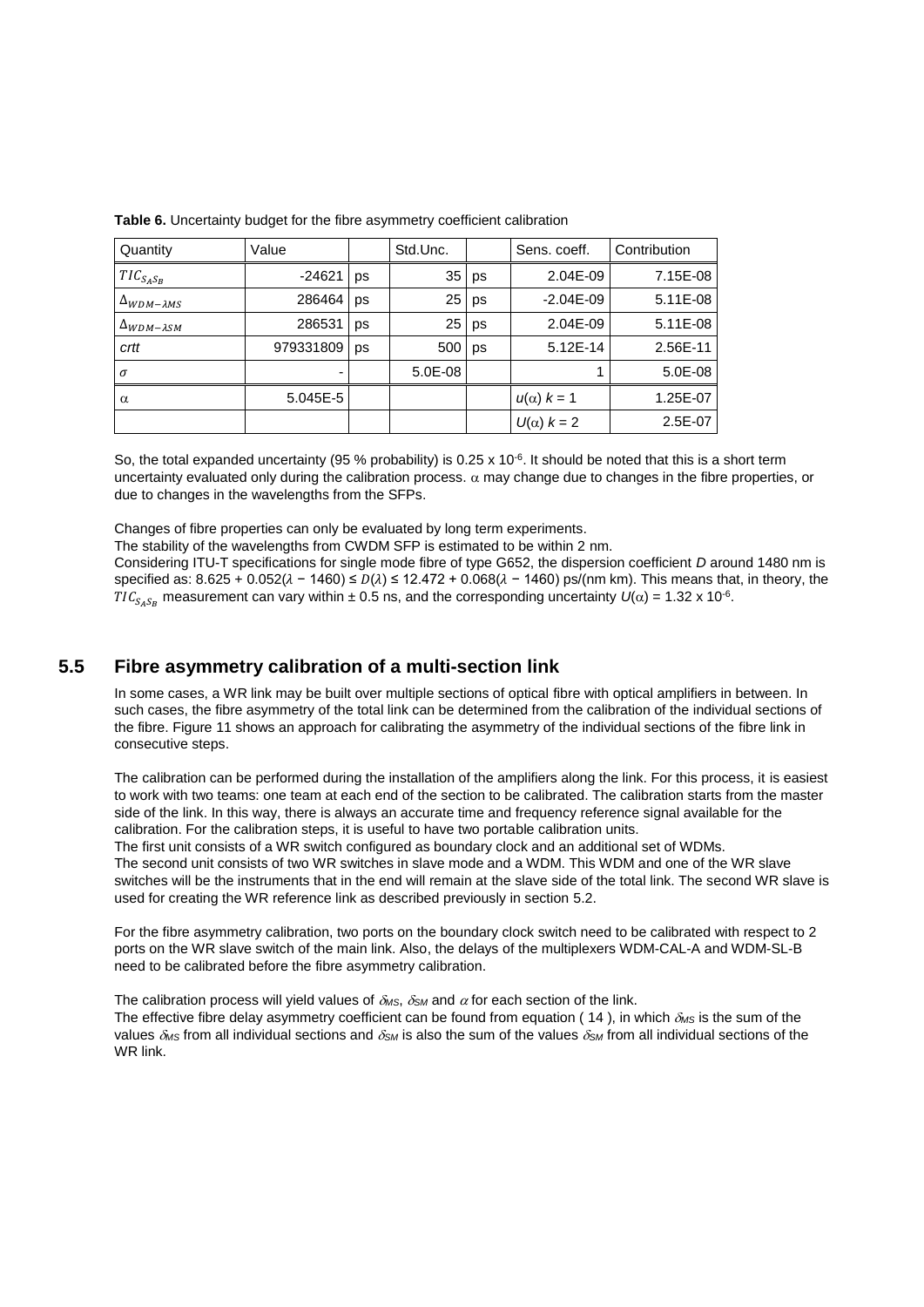| Quantity                               | Value     |    | Std.Unc. |    | Sens. coeff.        | Contribution |
|----------------------------------------|-----------|----|----------|----|---------------------|--------------|
| $TIC_{S_A S_B}$                        | $-24621$  | ps | 35       | ps | 2.04E-09            | 7.15E-08     |
| $\Delta_{WDM-\lambda MS}$              | 286464    | ps | 25       | ps | $-2.04E - 09$       | 5.11E-08     |
| $\Delta$ <sub>WDM</sub> - $\lambda$ sm | 286531    | ps | 25       | ps | 2.04E-09            | 5.11E-08     |
| crtt                                   | 979331809 | ps | 500      | ps | 5.12E-14            | 2.56E-11     |
| $\sigma$                               | ۰         |    | 5.0E-08  |    |                     | 5.0E-08      |
| $\alpha$                               | 5.045E-5  |    |          |    | $u(\alpha)$ $k = 1$ | 1.25E-07     |
|                                        |           |    |          |    | $U(\alpha)$ $k = 2$ | 2.5E-07      |

<span id="page-29-0"></span>

So, the total expanded uncertainty (95 % probability) is  $0.25 \times 10^{-6}$ . It should be noted that this is a short term uncertainty evaluated only during the calibration process.  $\alpha$  may change due to changes in the fibre properties, or due to changes in the wavelengths from the SFPs.

Changes of fibre properties can only be evaluated by long term experiments.

The stability of the wavelengths from CWDM SFP is estimated to be within 2 nm.

Considering ITU-T specifications for single mode fibre of type G652, the dispersion coefficient *D* around 1480 nm is specified as:  $8.625 + 0.052(\lambda - 1460) \le D(\lambda) \le 12.472 + 0.068(\lambda - 1460)$  ps/(nm km). This means that, in theory, the  $TIC_{S_A S_B}$  measurement can vary within ± 0.5 ns, and the corresponding uncertainty  $U(\alpha)$  = 1.32 x 10<sup>-6</sup>.

## **5.5 Fibre asymmetry calibration of a multi-section link**

In some cases, a WR link may be built over multiple sections of optical fibre with optical amplifiers in between. In such cases, the fibre asymmetry of the total link can be determined from the calibration of the individual sections of the fibre. [Figure 11](#page-30-0) shows an approach for calibrating the asymmetry of the individual sections of the fibre link in consecutive steps.

The calibration can be performed during the installation of the amplifiers along the link. For this process, it is easiest to work with two teams: one team at each end of the section to be calibrated. The calibration starts from the master side of the link. In this way, there is always an accurate time and frequency reference signal available for the calibration. For the calibration steps, it is useful to have two portable calibration units.

The first unit consists of a WR switch configured as boundary clock and an additional set of WDMs. The second unit consists of two WR switches in slave mode and a WDM. This WDM and one of the WR slave switches will be the instruments that in the end will remain at the slave side of the total link. The second WR slave is used for creating the WR reference link as described previously in section [5.2.](#page-22-2)

For the fibre asymmetry calibration, two ports on the boundary clock switch need to be calibrated with respect to 2 ports on the WR slave switch of the main link. Also, the delays of the multiplexers WDM-CAL-A and WDM-SL-B need to be calibrated before the fibre asymmetry calibration.

The calibration process will yield values of  $\delta_{MS}$ ,  $\delta_{SM}$  and  $\alpha$  for each section of the link.

The effective fibre delay asymmetry coefficient can be found from equation (14), in which  $\delta_{MS}$  is the sum of the values  $\delta_{MS}$  from all individual sections and  $\delta_{SM}$  is also the sum of the values  $\delta_{SM}$  from all individual sections of the WR link.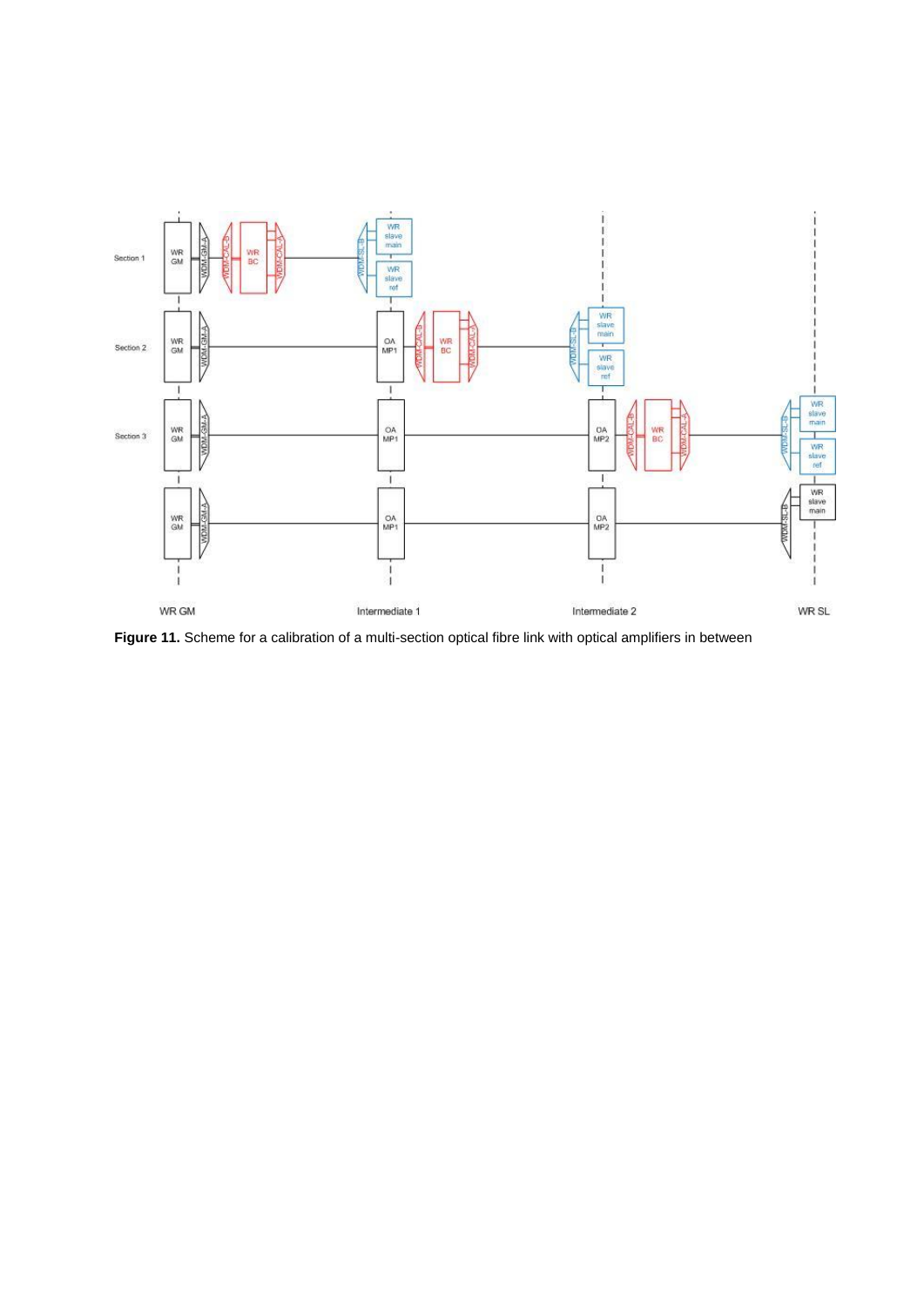

<span id="page-30-0"></span>Figure 11. Scheme for a calibration of a multi-section optical fibre link with optical amplifiers in between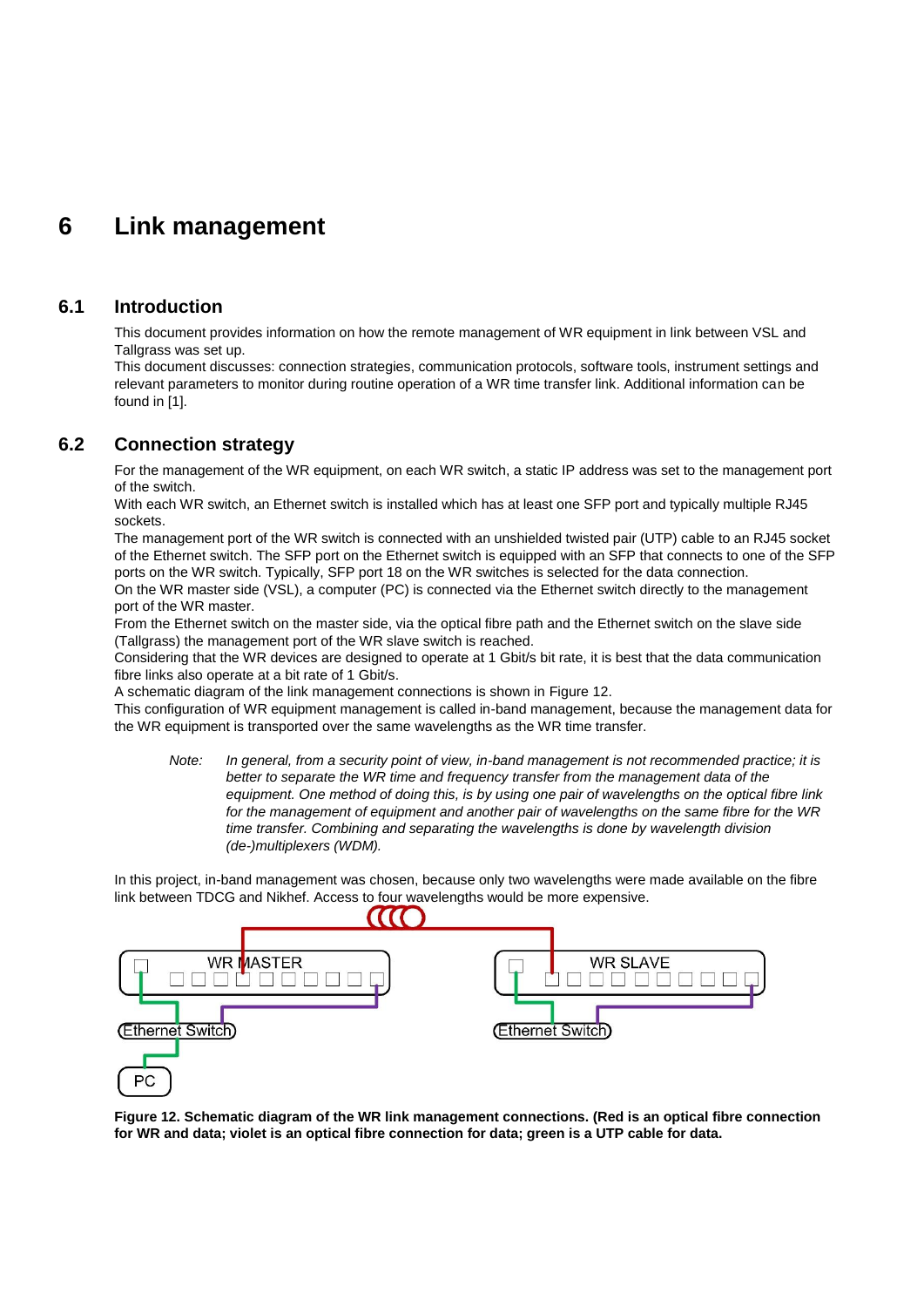## **6 Link management**

## **6.1 Introduction**

This document provides information on how the remote management of WR equipment in link between VSL and Tallgrass was set up.

This document discusses: connection strategies, communication protocols, software tools, instrument settings and relevant parameters to monitor during routine operation of a WR time transfer link. Additional information can be found in [1].

## **6.2 Connection strategy**

For the management of the WR equipment, on each WR switch, a static IP address was set to the management port of the switch.

With each WR switch, an Ethernet switch is installed which has at least one SFP port and typically multiple RJ45 sockets.

The management port of the WR switch is connected with an unshielded twisted pair (UTP) cable to an RJ45 socket of the Ethernet switch. The SFP port on the Ethernet switch is equipped with an SFP that connects to one of the SFP ports on the WR switch. Typically, SFP port 18 on the WR switches is selected for the data connection.

On the WR master side (VSL), a computer (PC) is connected via the Ethernet switch directly to the management port of the WR master.

From the Ethernet switch on the master side, via the optical fibre path and the Ethernet switch on the slave side (Tallgrass) the management port of the WR slave switch is reached.

Considering that the WR devices are designed to operate at 1 Gbit/s bit rate, it is best that the data communication fibre links also operate at a bit rate of 1 Gbit/s.

A schematic diagram of the link management connections is shown in [Figure 12.](#page-31-0)

This configuration of WR equipment management is called in-band management, because the management data for the WR equipment is transported over the same wavelengths as the WR time transfer.

*Note: In general, from a security point of view, in-band management is not recommended practice; it is better to separate the WR time and frequency transfer from the management data of the equipment. One method of doing this, is by using one pair of wavelengths on the optical fibre link for the management of equipment and another pair of wavelengths on the same fibre for the WR time transfer. Combining and separating the wavelengths is done by wavelength division (de-)multiplexers (WDM).*

In this project, in-band management was chosen, because only two wavelengths were made available on the fibre link between TDCG and Nikhef. Access to four wavelengths would be more expensive.



<span id="page-31-0"></span>**Figure 12. Schematic diagram of the WR link management connections. (Red is an optical fibre connection for WR and data; violet is an optical fibre connection for data; green is a UTP cable for data.**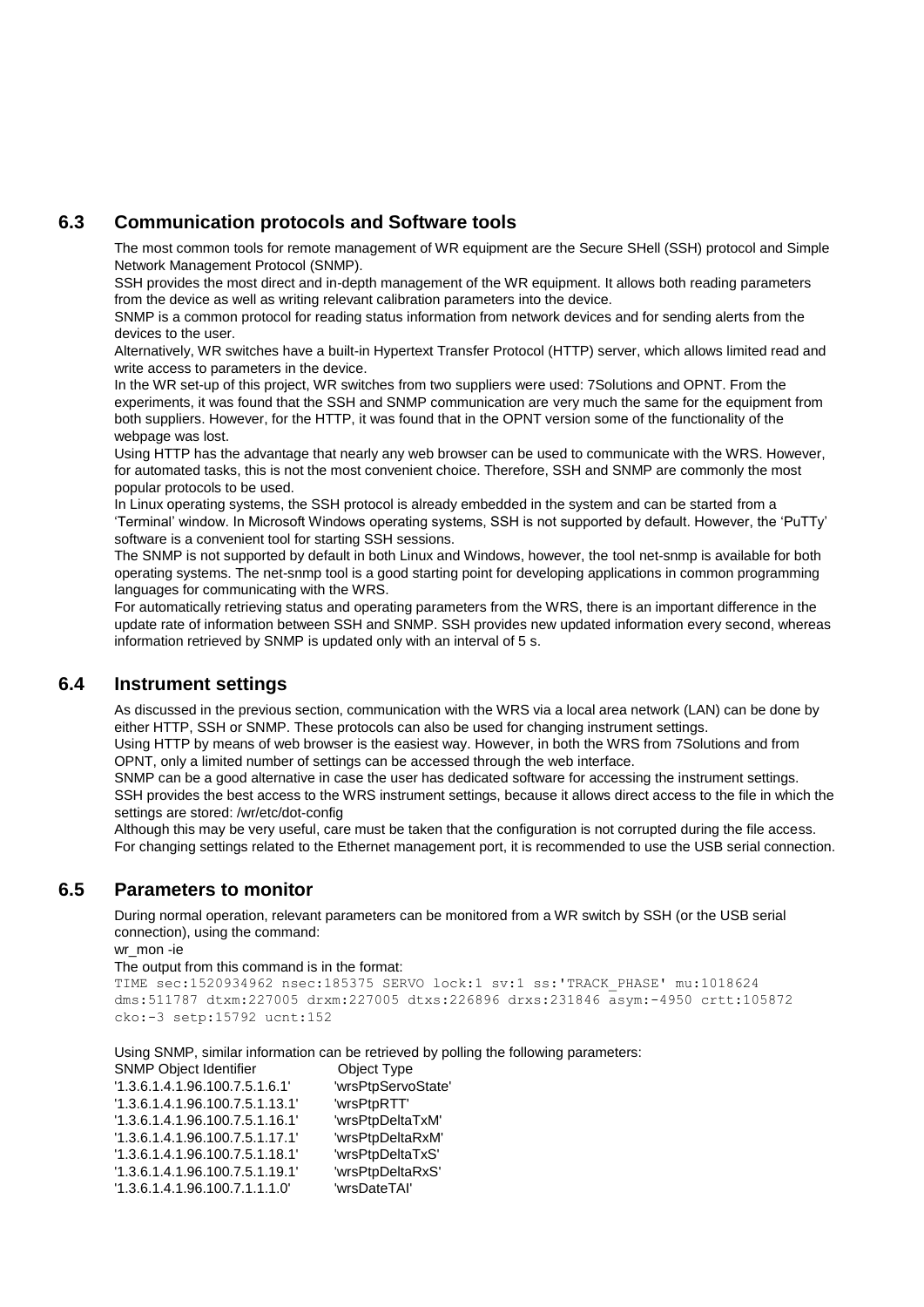## **6.3 Communication protocols and Software tools**

The most common tools for remote management of WR equipment are the Secure SHell (SSH) protocol and Simple Network Management Protocol (SNMP).

SSH provides the most direct and in-depth management of the WR equipment. It allows both reading parameters from the device as well as writing relevant calibration parameters into the device.

SNMP is a common protocol for reading status information from network devices and for sending alerts from the devices to the user.

Alternatively, WR switches have a built-in Hypertext Transfer Protocol (HTTP) server, which allows limited read and write access to parameters in the device.

In the WR set-up of this project, WR switches from two suppliers were used: 7Solutions and OPNT. From the experiments, it was found that the SSH and SNMP communication are very much the same for the equipment from both suppliers. However, for the HTTP, it was found that in the OPNT version some of the functionality of the webpage was lost.

Using HTTP has the advantage that nearly any web browser can be used to communicate with the WRS. However, for automated tasks, this is not the most convenient choice. Therefore, SSH and SNMP are commonly the most popular protocols to be used.

In Linux operating systems, the SSH protocol is already embedded in the system and can be started from a 'Terminal' window. In Microsoft Windows operating systems, SSH is not supported by default. However, the 'PuTTy' software is a convenient tool for starting SSH sessions.

The SNMP is not supported by default in both Linux and Windows, however, the tool net-snmp is available for both operating systems. The net-snmp tool is a good starting point for developing applications in common programming languages for communicating with the WRS.

For automatically retrieving status and operating parameters from the WRS, there is an important difference in the update rate of information between SSH and SNMP. SSH provides new updated information every second, whereas information retrieved by SNMP is updated only with an interval of 5 s.

## **6.4 Instrument settings**

As discussed in the previous section, communication with the WRS via a local area network (LAN) can be done by either HTTP, SSH or SNMP. These protocols can also be used for changing instrument settings.

Using HTTP by means of web browser is the easiest way. However, in both the WRS from 7Solutions and from OPNT, only a limited number of settings can be accessed through the web interface.

SNMP can be a good alternative in case the user has dedicated software for accessing the instrument settings. SSH provides the best access to the WRS instrument settings, because it allows direct access to the file in which the settings are stored: /wr/etc/dot-config

Although this may be very useful, care must be taken that the configuration is not corrupted during the file access. For changing settings related to the Ethernet management port, it is recommended to use the USB serial connection.

## **6.5 Parameters to monitor**

During normal operation, relevant parameters can be monitored from a WR switch by SSH (or the USB serial connection), using the command:

wr\_mon -ie

The output from this command is in the format: TIME sec:1520934962 nsec:185375 SERVO lock:1 sv:1 ss:'TRACK\_PHASE' mu:1018624 dms:511787 dtxm:227005 drxm:227005 dtxs:226896 drxs:231846 asym:-4950 crtt:105872 cko:-3 setp:15792 ucnt:152

Using SNMP, similar information can be retrieved by polling the following parameters:

| <b>SNMP Object Identifier</b> | Object Type        |
|-------------------------------|--------------------|
| 1.3.6.1.4.1.96.100.7.5.1.6.1  | 'wrsPtpServoState' |
| 1.3.6.1.4.1.96.100.7.5.1.13.1 | 'wrsPtpRTT'        |
| 1.3.6.1.4.1.96.100.7.5.1.16.1 | 'wrsPtpDeltaTxM'   |
| 1.3.6.1.4.1.96.100.7.5.1.17.1 | 'wrsPtpDeltaRxM'   |
| 1.3.6.1.4.1.96.100.7.5.1.18.1 | 'wrsPtpDeltaTxS'   |
| 1.3.6.1.4.1.96.100.7.5.1.19.1 | 'wrsPtpDeltaRxS'   |
| 1.3.6.1.4.1.96.100.7.1.1.1.0  | 'wrsDateTAI'       |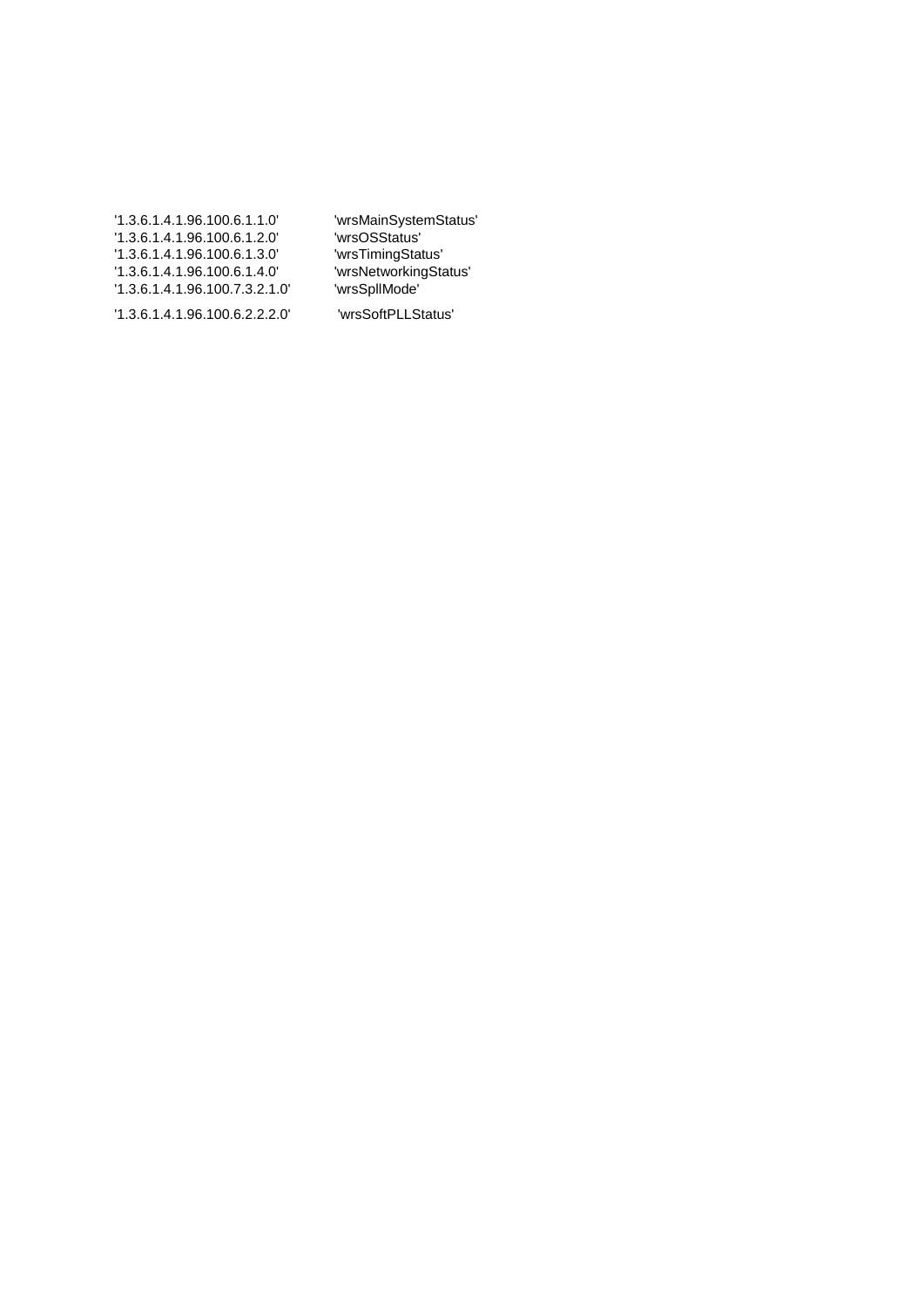| 1.3.6.1.4.1.96.100.6.1.1.0   | 'wrsMainSystemStatus' |
|------------------------------|-----------------------|
| 1.3.6.1.4.1.96.100.6.1.2.0   | 'wrsOSStatus'         |
| 1.3.6.1.4.1.96.100.6.1.3.0   | 'wrsTimingStatus'     |
| 1.3.6.1.4.1.96.100.6.1.4.0   | 'wrsNetworkingStatus' |
| 1.3.6.1.4.1.96.100.7.3.2.1.0 | 'wrsSpllMode'         |
| 1.3.6.1.4.1.96.100.6.2.2.2.0 | 'wrsSoftPLLStatus'    |